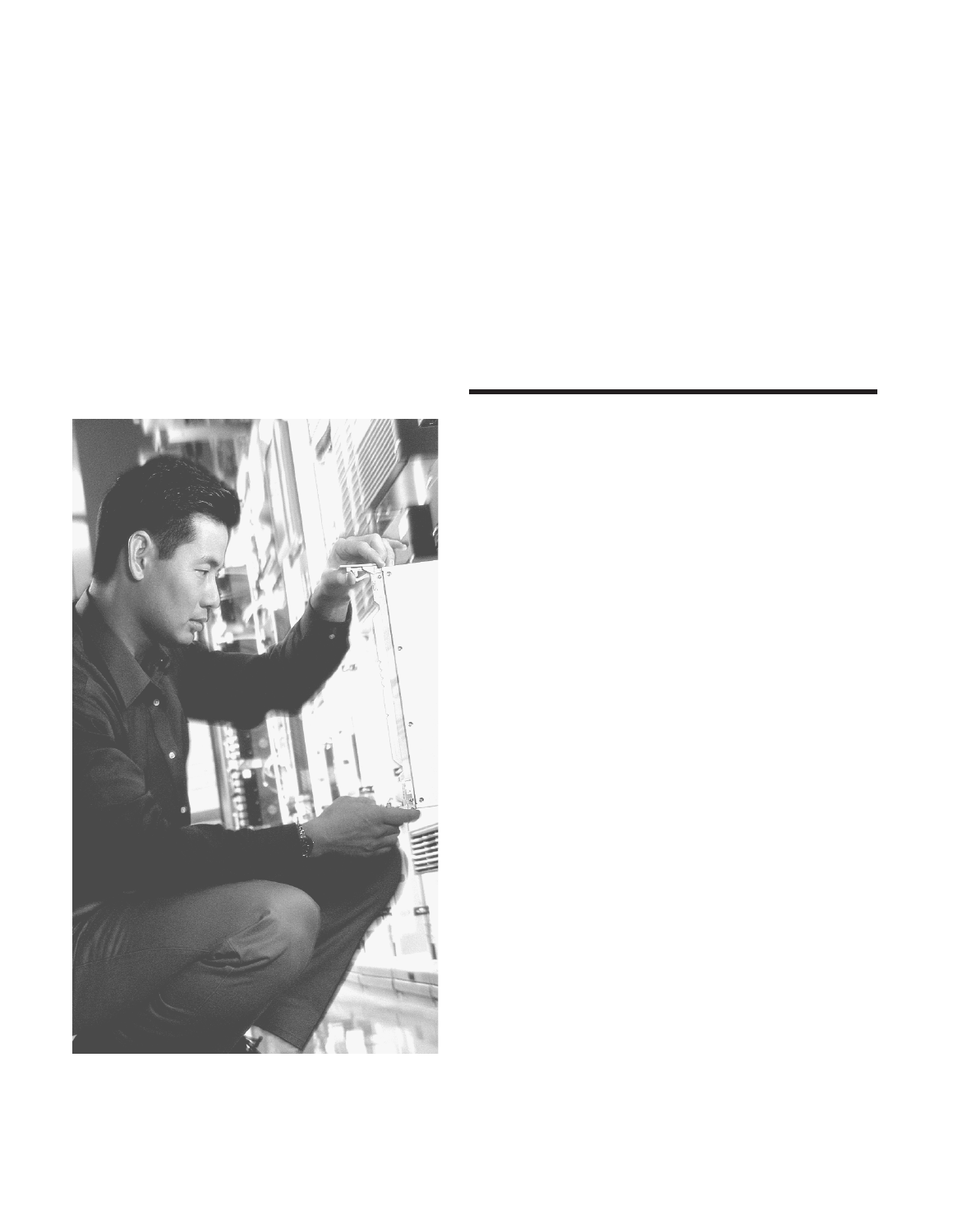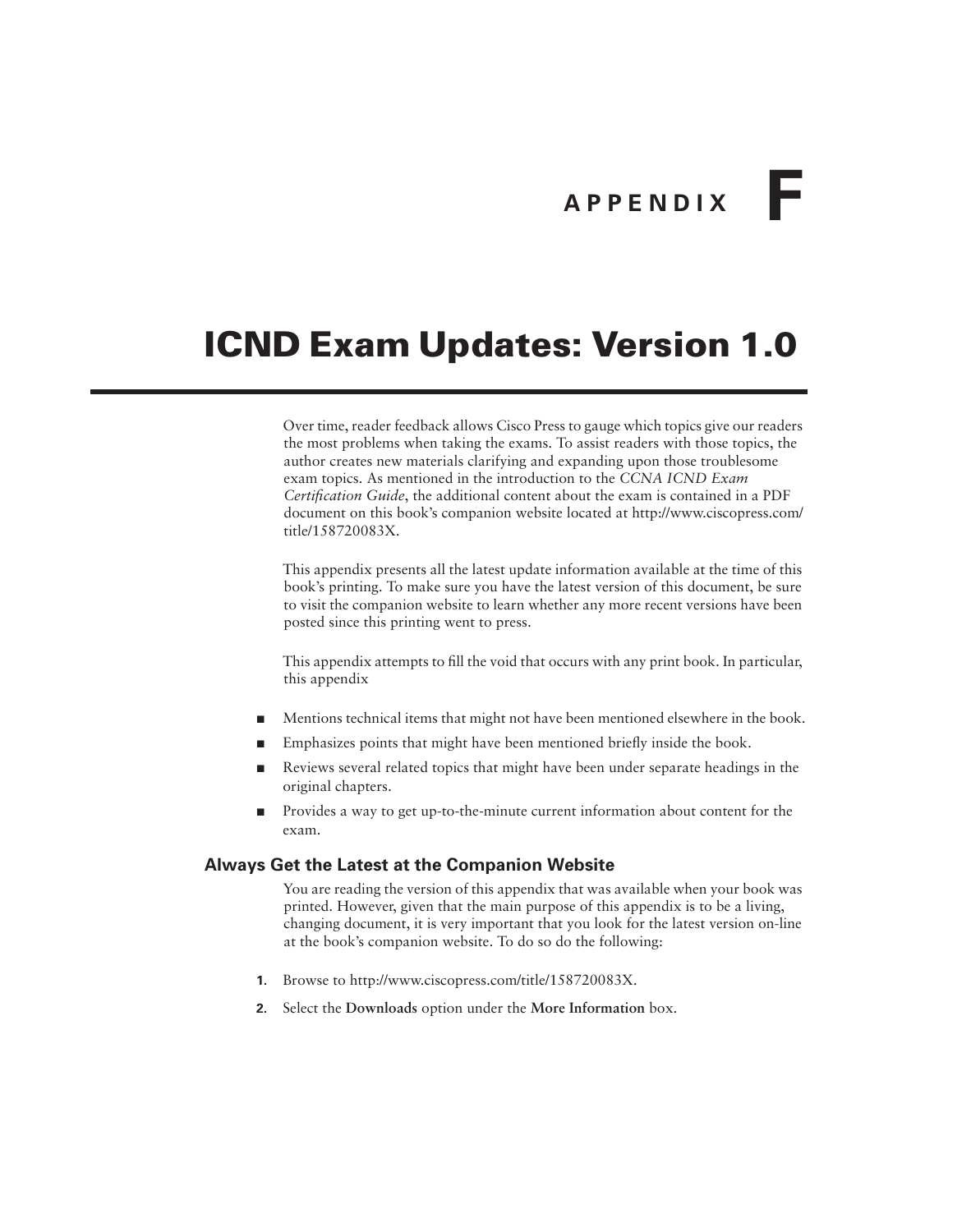# $AP$  P E N D I X

# **ICND Exam Updates: Version 1.0**

Over time, reader feedback allows Cisco Press to gauge which topics give our readers the most problems when taking the exams. To assist readers with those topics, the author creates new materials clarifying and expanding upon those troublesome exam topics. As mentioned in the introduction to the *CCNA ICND Exam Certification Guide*, the additional content about the exam is contained in a PDF document on this book's companion website located at http://www.ciscopress.com/ title/158720083X.

This appendix presents all the latest update information available at the time of this book's printing. To make sure you have the latest version of this document, be sure to visit the companion website to learn whether any more recent versions have been posted since this printing went to press.

This appendix attempts to fill the void that occurs with any print book. In particular, this appendix

- Mentions technical items that might not have been mentioned elsewhere in the book.
- Emphasizes points that might have been mentioned briefly inside the book.
- Reviews several related topics that might have been under separate headings in the original chapters.
- Provides a way to get up-to-the-minute current information about content for the exam.

# **Always Get the Latest at the Companion Website**

You are reading the version of this appendix that was available when your book was printed. However, given that the main purpose of this appendix is to be a living, changing document, it is very important that you look for the latest version on-line at the book's companion website. To do so do the following:

- **1.** Browse to http://www.ciscopress.com/title/158720083X.
- **2.** Select the **Downloads** option under the **More Information** box.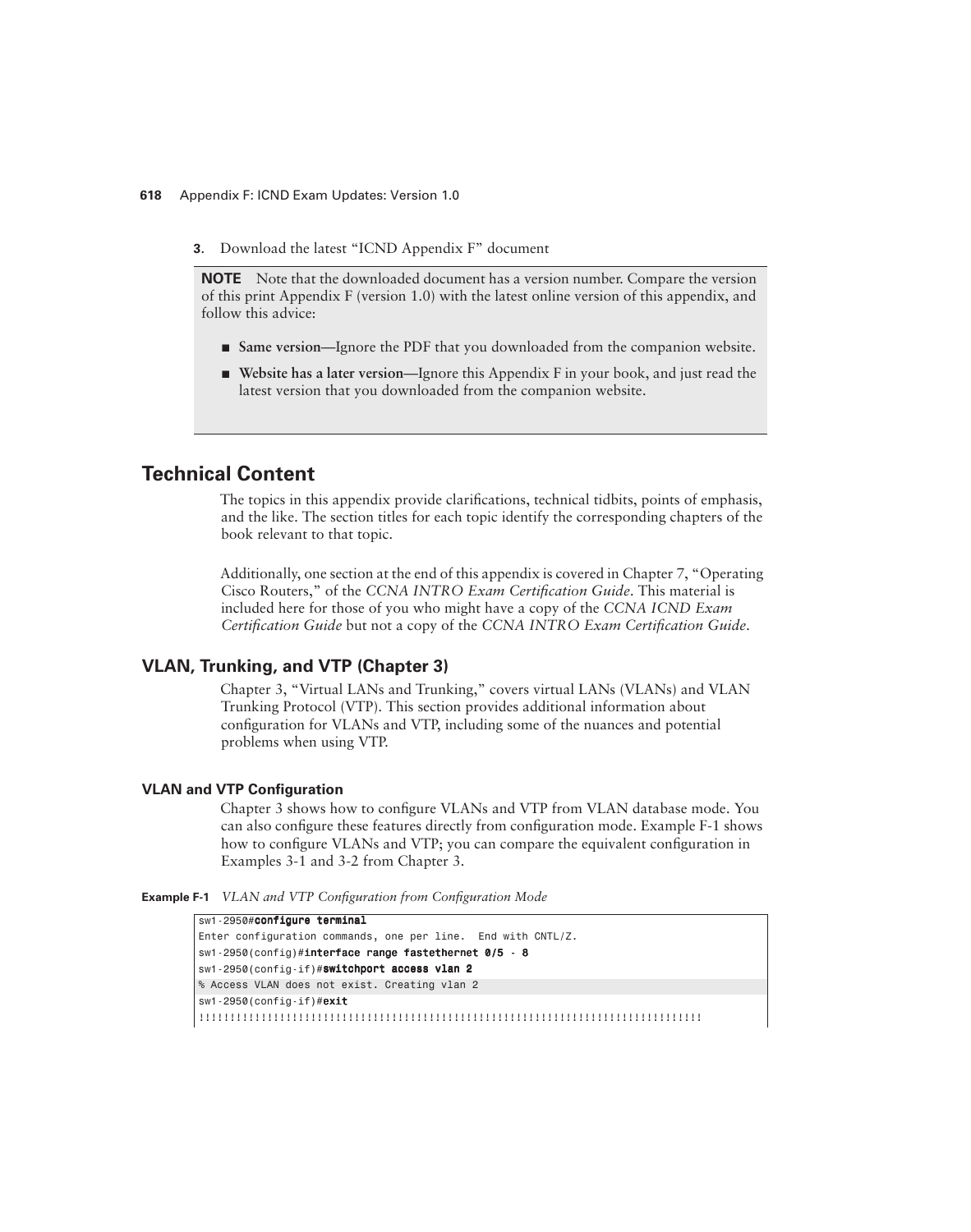**3.** Download the latest "ICND Appendix F" document

**NOTE** Note that the downloaded document has a version number. Compare the version of this print Appendix F (version 1.0) with the latest online version of this appendix, and follow this advice:

- **Same version—Ignore the PDF that you downloaded from the companion website.**
- **Website has a later version—Ignore this Appendix F in your book, and just read the** latest version that you downloaded from the companion website.

# **Technical Content**

The topics in this appendix provide clarifications, technical tidbits, points of emphasis, and the like. The section titles for each topic identify the corresponding chapters of the book relevant to that topic.

Additionally, one section at the end of this appendix is covered in Chapter 7, "Operating Cisco Routers," of the *CCNA INTRO Exam Certification Guide*. This material is included here for those of you who might have a copy of the *CCNA ICND Exam Certification Guide* but not a copy of the *CCNA INTRO Exam Certification Guide*.

# **VLAN, Trunking, and VTP (Chapter 3)**

Chapter 3, "Virtual LANs and Trunking," covers virtual LANs (VLANs) and VLAN Trunking Protocol (VTP). This section provides additional information about configuration for VLANs and VTP, including some of the nuances and potential problems when using VTP.

### **VLAN and VTP Configuration**

Chapter 3 shows how to configure VLANs and VTP from VLAN database mode. You can also configure these features directly from configuration mode. Example F-1 shows how to configure VLANs and VTP; you can compare the equivalent configuration in Examples 3-1 and 3-2 from Chapter 3.

**Example F-1** *VLAN and VTP Configuration from Configuration Mode*

```
sw1-2950#configure terminal
Enter configuration commands, one per line. End with CNTL/Z.
sw1-2950(config)#interface range fastethernet 0/5 - 8sw1-2950(config-if)#switchport access vlan 2
% Access VLAN does not exist. Creating vlan 2
sw1-2950(config-if)#exit
!!!!!!!!!!!!!!!!!!!!!!!!!!!!!!!!!!!!!!!!!!!!!!!!!!!!!!!!!!!!!!!!!!!!!!!!!!!!!!!!!
```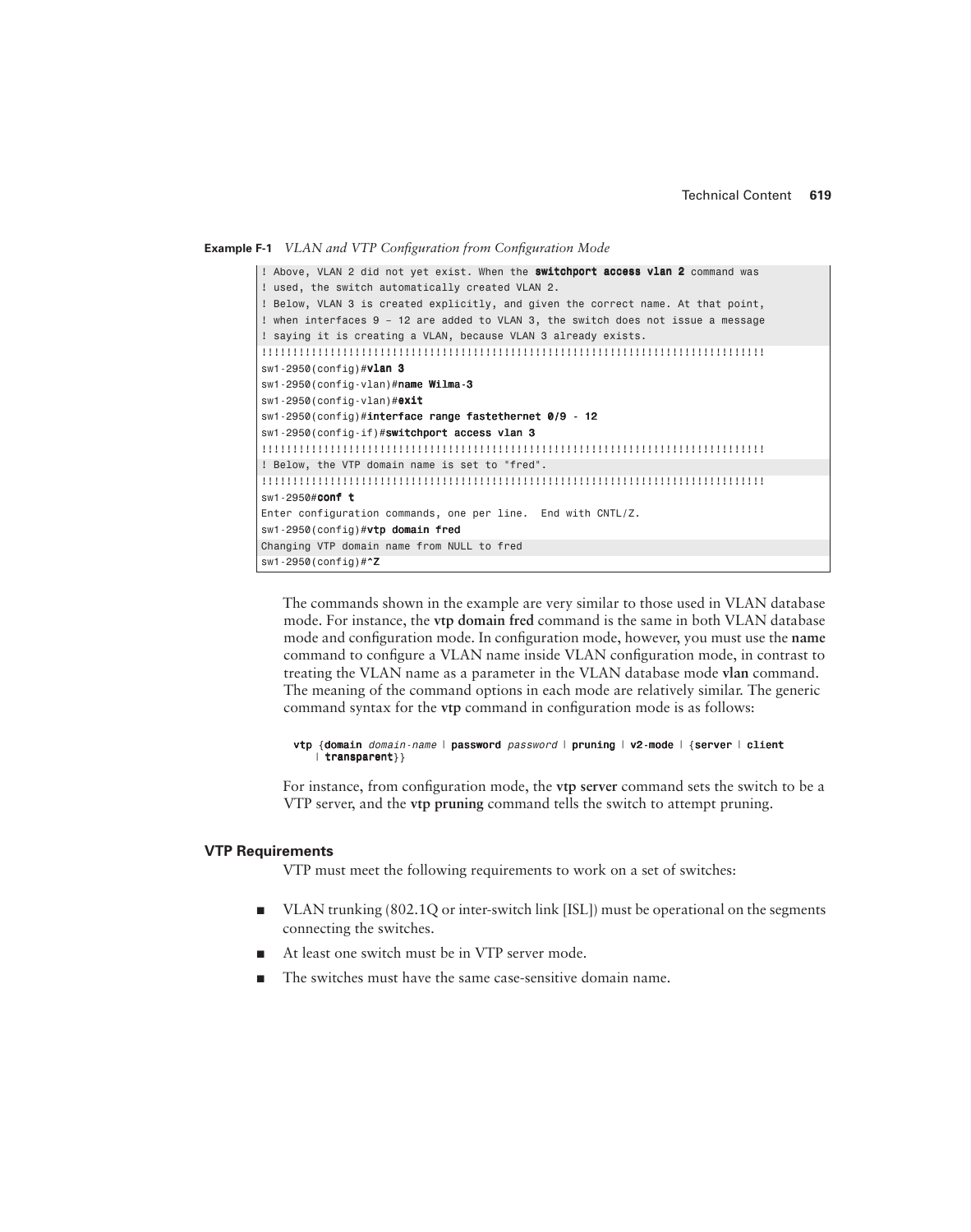```
Example F-1 VLAN and VTP Configuration from Configuration Mode
```

```
! Above, VLAN 2 did not yet exist. When the switchport access vlan 2 command was
! used, the switch automatically created VLAN 2. 
! Below, VLAN 3 is created explicitly, and given the correct name. At that point,
! when interfaces 9 – 12 are added to VLAN 3, the switch does not issue a message
! saying it is creating a VLAN, because VLAN 3 already exists.
!!!!!!!!!!!!!!!!!!!!!!!!!!!!!!!!!!!!!!!!!!!!!!!!!!!!!!!!!!!!!!!!!!!!!!!!!!!!!!!!!
sw1-2950(config)#vlan 3
sw1-2950(config-vlan)#name Wilma-3
sw1-2950(config-vlan)#exit
sw1-2950(config)#interface range fastethernet 0/9 - 12
sw1-2950(config-if)#switchport access vlan 3
!!!!!!!!!!!!!!!!!!!!!!!!!!!!!!!!!!!!!!!!!!!!!!!!!!!!!!!!!!!!!!!!!!!!!!!!!!!!!!!!!
! Below, the VTP domain name is set to "fred".
!!!!!!!!!!!!!!!!!!!!!!!!!!!!!!!!!!!!!!!!!!!!!!!!!!!!!!!!!!!!!!!!!!!!!!!!!!!!!!!!!
sw1-2950#conf t
Enter configuration commands, one per line. End with CNTL/Z.
sw1-2950(config)#vtp domain fred
Changing VTP domain name from NULL to fred
sw1-2950(config)#^Z
```
The commands shown in the example are very similar to those used in VLAN database mode. For instance, the **vtp domain fred** command is the same in both VLAN database mode and configuration mode. In configuration mode, however, you must use the **name** command to configure a VLAN name inside VLAN configuration mode, in contrast to treating the VLAN name as a parameter in the VLAN database mode **vlan** command. The meaning of the command options in each mode are relatively similar. The generic command syntax for the **vtp** command in configuration mode is as follows:

```
vtp {domain domain-name | password password | pruning | v2-mode | {server | client
    | transparent}}
```
For instance, from configuration mode, the **vtp server** command sets the switch to be a VTP server, and the **vtp pruning** command tells the switch to attempt pruning.

#### **VTP Requirements**

VTP must meet the following requirements to work on a set of switches:

- $\blacksquare$  VLAN trunking (802.1Q or inter-switch link [ISL]) must be operational on the segments connecting the switches.
- At least one switch must be in VTP server mode.
- The switches must have the same case-sensitive domain name.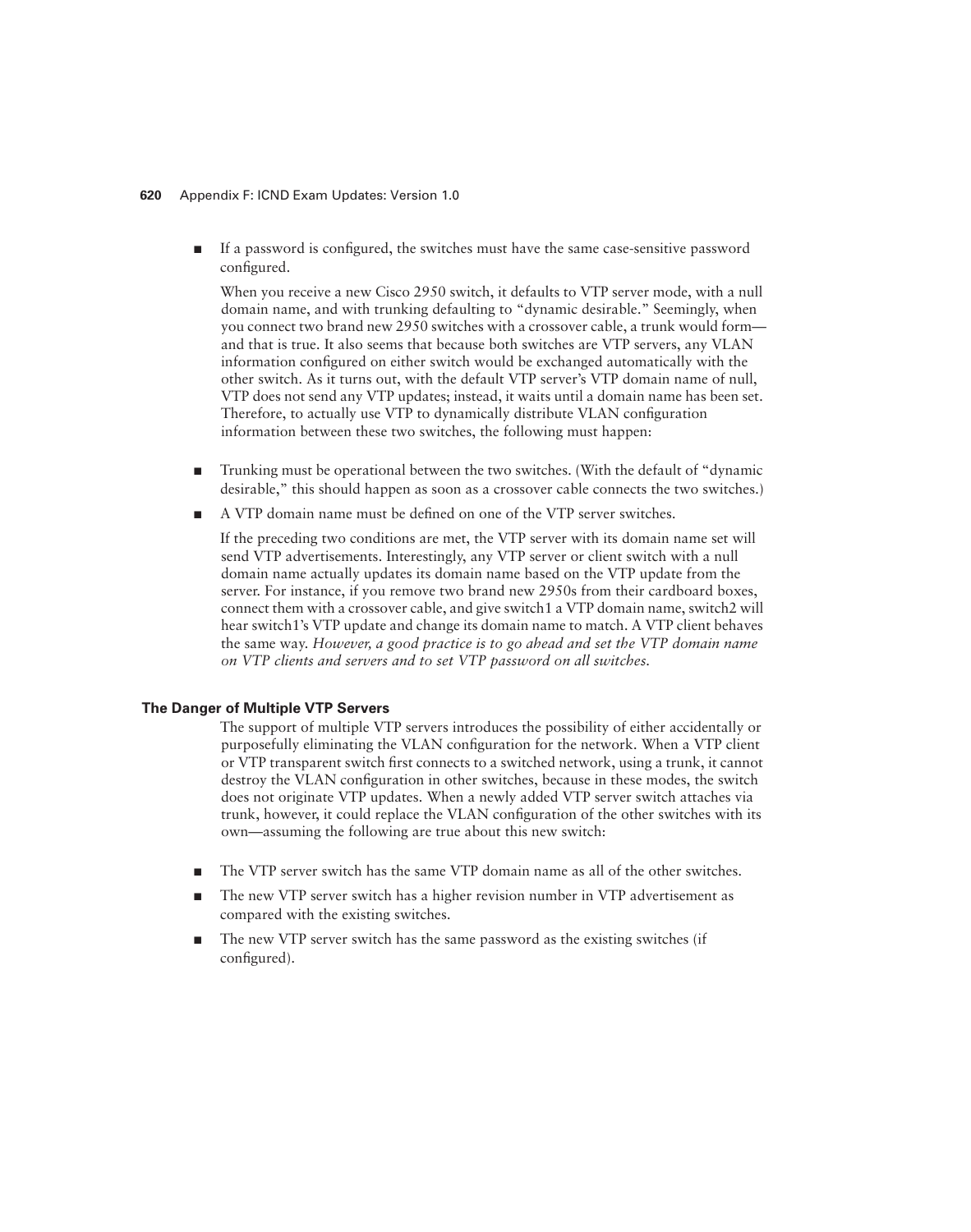■ If a password is configured, the switches must have the same case-sensitive password configured.

When you receive a new Cisco 2950 switch, it defaults to VTP server mode, with a null domain name, and with trunking defaulting to "dynamic desirable." Seemingly, when you connect two brand new 2950 switches with a crossover cable, a trunk would form and that is true. It also seems that because both switches are VTP servers, any VLAN information configured on either switch would be exchanged automatically with the other switch. As it turns out, with the default VTP server's VTP domain name of null, VTP does not send any VTP updates; instead, it waits until a domain name has been set. Therefore, to actually use VTP to dynamically distribute VLAN configuration information between these two switches, the following must happen:

- Trunking must be operational between the two switches. (With the default of "dynamic" desirable," this should happen as soon as a crossover cable connects the two switches.)
- A VTP domain name must be defined on one of the VTP server switches.

If the preceding two conditions are met, the VTP server with its domain name set will send VTP advertisements. Interestingly, any VTP server or client switch with a null domain name actually updates its domain name based on the VTP update from the server. For instance, if you remove two brand new 2950s from their cardboard boxes, connect them with a crossover cable, and give switch1 a VTP domain name, switch2 will hear switch1's VTP update and change its domain name to match. A VTP client behaves the same way. *However, a good practice is to go ahead and set the VTP domain name on VTP clients and servers and to set VTP password on all switches.*

#### **The Danger of Multiple VTP Servers**

The support of multiple VTP servers introduces the possibility of either accidentally or purposefully eliminating the VLAN configuration for the network. When a VTP client or VTP transparent switch first connects to a switched network, using a trunk, it cannot destroy the VLAN configuration in other switches, because in these modes, the switch does not originate VTP updates. When a newly added VTP server switch attaches via trunk, however, it could replace the VLAN configuration of the other switches with its own—assuming the following are true about this new switch:

- The VTP server switch has the same VTP domain name as all of the other switches.
- The new VTP server switch has a higher revision number in VTP advertisement as compared with the existing switches.
- The new VTP server switch has the same password as the existing switches (if configured).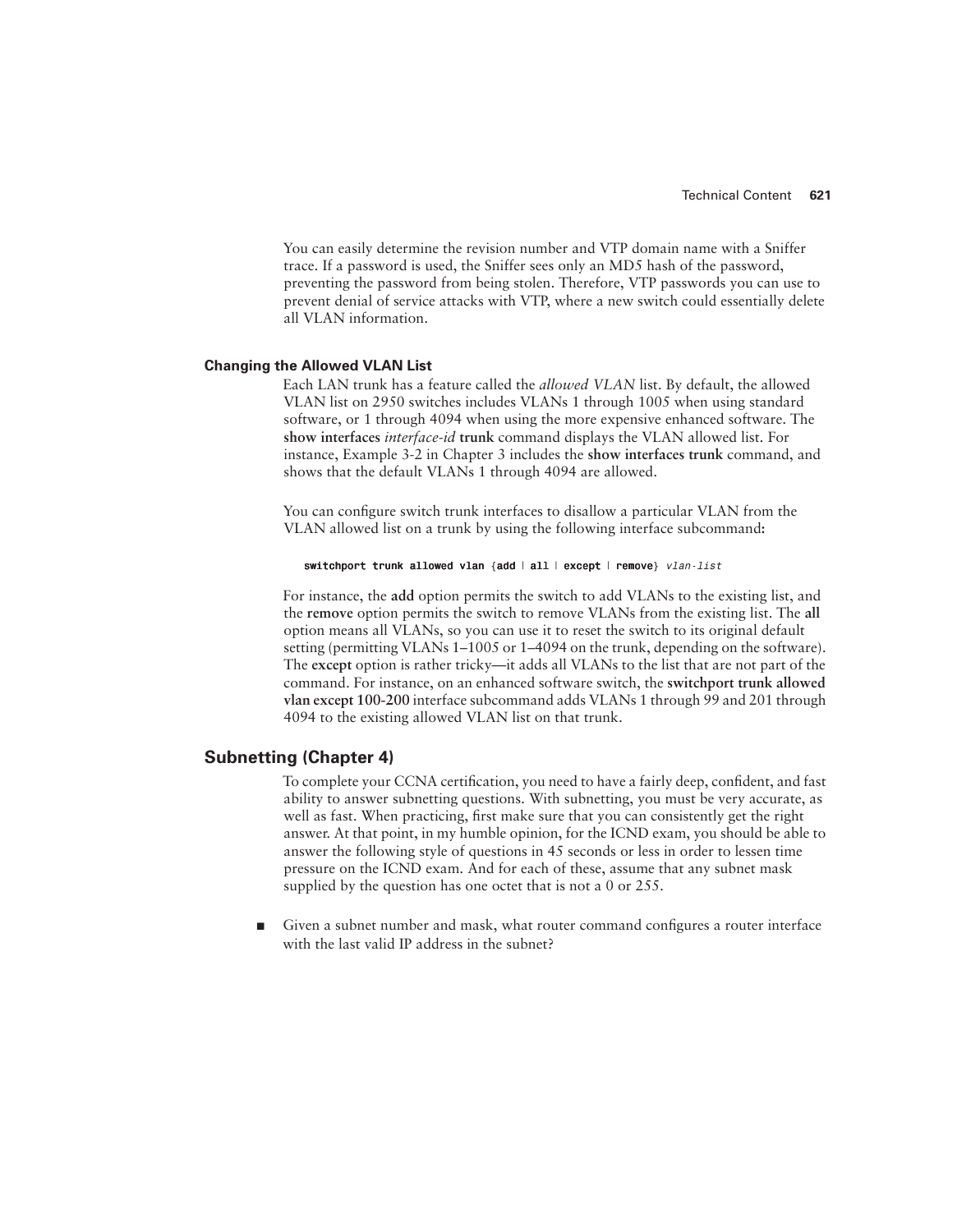You can easily determine the revision number and VTP domain name with a Sniffer trace. If a password is used, the Sniffer sees only an MD5 hash of the password, preventing the password from being stolen. Therefore, VTP passwords you can use to prevent denial of service attacks with VTP, where a new switch could essentially delete all VLAN information.

#### **Changing the Allowed VLAN List**

Each LAN trunk has a feature called the *allowed VLAN* list. By default, the allowed VLAN list on 2950 switches includes VLANs 1 through 1005 when using standard software, or 1 through 4094 when using the more expensive enhanced software. The **show interfaces** *interface-id* **trunk** command displays the VLAN allowed list. For instance, Example 3-2 in Chapter 3 includes the **show interfaces trunk** command, and shows that the default VLANs 1 through 4094 are allowed.

You can configure switch trunk interfaces to disallow a particular VLAN from the VLAN allowed list on a trunk by using the following interface subcommand**:** 

#### switchport trunk allowed vlan {add | all | except | remove} vlan-list

For instance, the **add** option permits the switch to add VLANs to the existing list, and the **remove** option permits the switch to remove VLANs from the existing list. The **all** option means all VLANs, so you can use it to reset the switch to its original default setting (permitting VLANs 1–1005 or 1–4094 on the trunk, depending on the software). The **except** option is rather tricky—it adds all VLANs to the list that are not part of the command. For instance, on an enhanced software switch, the **switchport trunk allowed vlan except 100-200** interface subcommand adds VLANs 1 through 99 and 201 through 4094 to the existing allowed VLAN list on that trunk.

# **Subnetting (Chapter 4)**

To complete your CCNA certification, you need to have a fairly deep, confident, and fast ability to answer subnetting questions. With subnetting, you must be very accurate, as well as fast. When practicing, first make sure that you can consistently get the right answer. At that point, in my humble opinion, for the ICND exam, you should be able to answer the following style of questions in 45 seconds or less in order to lessen time pressure on the ICND exam. And for each of these, assume that any subnet mask supplied by the question has one octet that is not a 0 or 255.

■ Given a subnet number and mask, what router command configures a router interface with the last valid IP address in the subnet?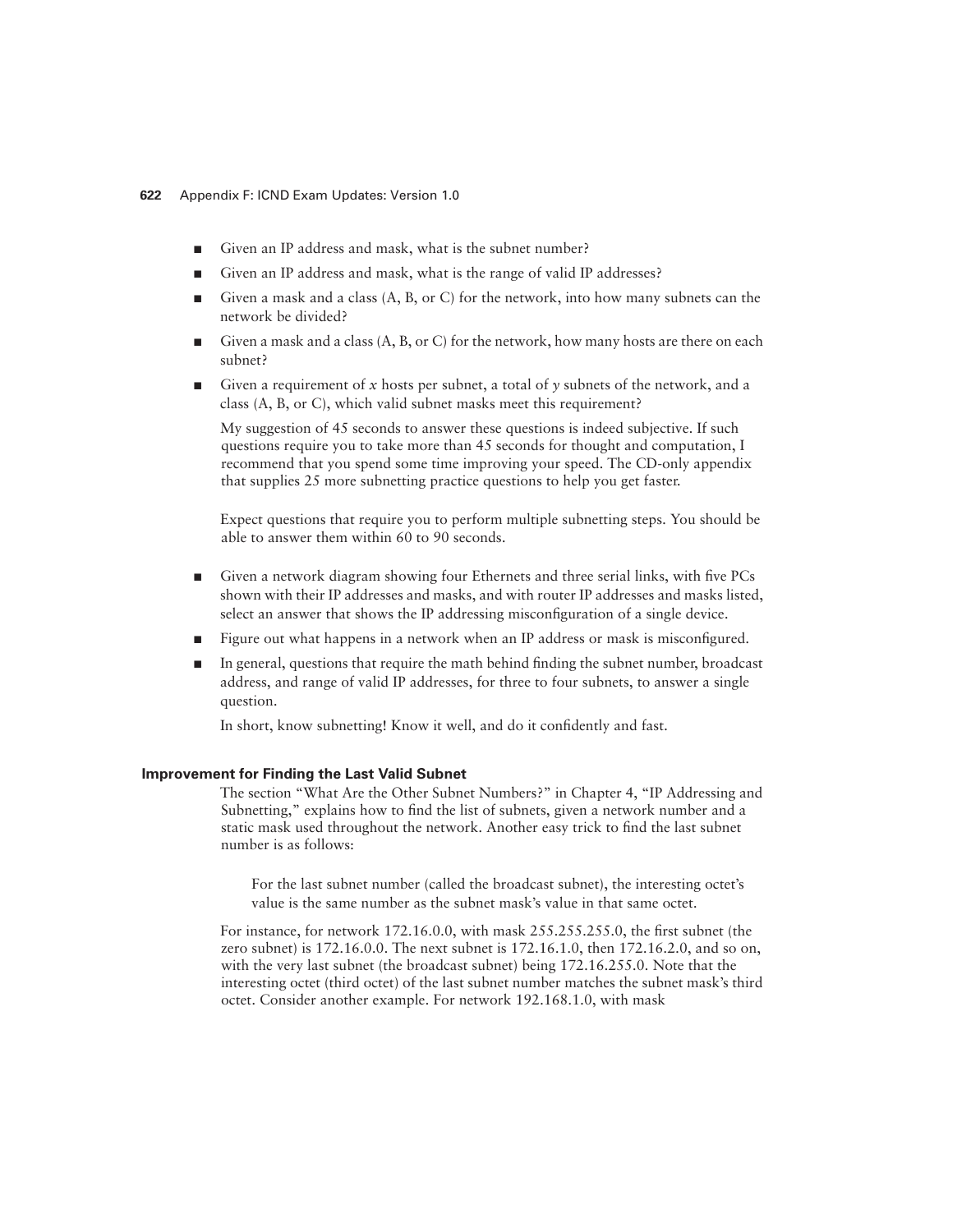- Given an IP address and mask, what is the subnet number?
- Given an IP address and mask, what is the range of valid IP addresses?
- Given a mask and a class (A, B, or C) for the network, into how many subnets can the network be divided?
- Given a mask and a class  $(A, B, or C)$  for the network, how many hosts are there on each subnet?
- Given a requirement of x hosts per subnet, a total of y subnets of the network, and a class (A, B, or C), which valid subnet masks meet this requirement?

My suggestion of 45 seconds to answer these questions is indeed subjective. If such questions require you to take more than 45 seconds for thought and computation, I recommend that you spend some time improving your speed. The CD-only appendix that supplies 25 more subnetting practice questions to help you get faster.

Expect questions that require you to perform multiple subnetting steps. You should be able to answer them within 60 to 90 seconds.

- Given a network diagram showing four Ethernets and three serial links, with five PCs shown with their IP addresses and masks, and with router IP addresses and masks listed, select an answer that shows the IP addressing misconfiguration of a single device.
- Figure out what happens in a network when an IP address or mask is misconfigured.
- In general, questions that require the math behind finding the subnet number, broadcast address, and range of valid IP addresses, for three to four subnets, to answer a single question.

In short, know subnetting! Know it well, and do it confidently and fast.

#### **Improvement for Finding the Last Valid Subnet**

The section "What Are the Other Subnet Numbers?" in Chapter 4, "IP Addressing and Subnetting," explains how to find the list of subnets, given a network number and a static mask used throughout the network. Another easy trick to find the last subnet number is as follows:

For the last subnet number (called the broadcast subnet), the interesting octet's value is the same number as the subnet mask's value in that same octet.

For instance, for network 172.16.0.0, with mask 255.255.255.0, the first subnet (the zero subnet) is 172.16.0.0. The next subnet is 172.16.1.0, then 172.16.2.0, and so on, with the very last subnet (the broadcast subnet) being 172.16.255.0. Note that the interesting octet (third octet) of the last subnet number matches the subnet mask's third octet. Consider another example. For network 192.168.1.0, with mask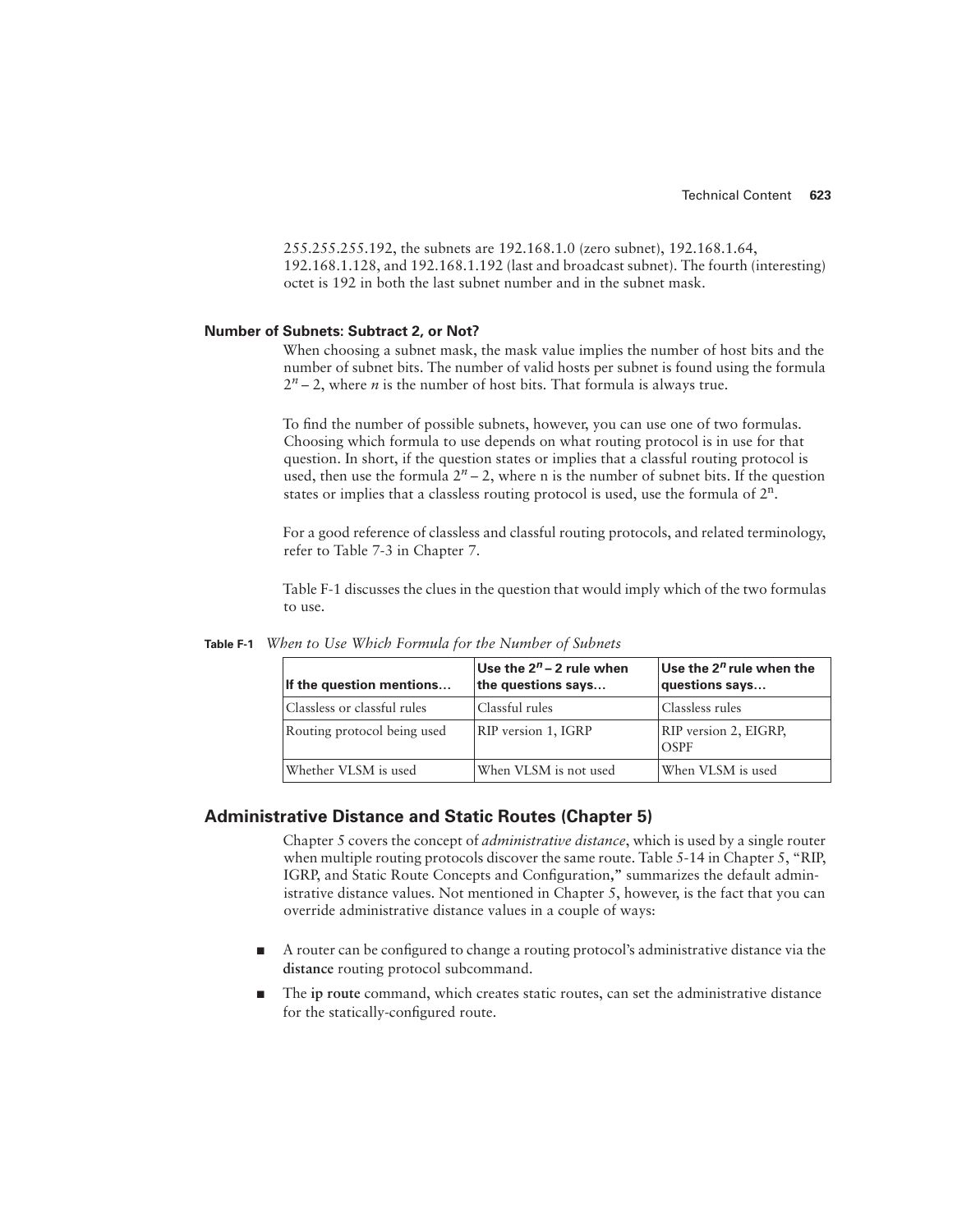255.255.255.192, the subnets are 192.168.1.0 (zero subnet), 192.168.1.64, 192.168.1.128, and 192.168.1.192 (last and broadcast subnet). The fourth (interesting) octet is 192 in both the last subnet number and in the subnet mask.

#### **Number of Subnets: Subtract 2, or Not?**

When choosing a subnet mask, the mask value implies the number of host bits and the number of subnet bits. The number of valid hosts per subnet is found using the formula  $2<sup>n</sup> - 2$ , where *n* is the number of host bits. That formula is always true.

To find the number of possible subnets, however, you can use one of two formulas. Choosing which formula to use depends on what routing protocol is in use for that question. In short, if the question states or implies that a classful routing protocol is used, then use the formula  $2<sup>n</sup> - 2$ , where n is the number of subnet bits. If the question states or implies that a classless routing protocol is used, use the formula of 2n.

For a good reference of classless and classful routing protocols, and related terminology, refer to Table 7-3 in Chapter 7.

Table F-1 discusses the clues in the question that would imply which of the two formulas to use.

| If the question mentions    | Use the $2^n - 2$ rule when<br>the questions says | $ $ Use the 2 $^{\prime\prime}$ rule when the<br>questions says |
|-----------------------------|---------------------------------------------------|-----------------------------------------------------------------|
| Classless or classful rules | Classful rules                                    | Classless rules                                                 |
| Routing protocol being used | RIP version 1, IGRP                               | RIP version 2, EIGRP,<br><b>OSPF</b>                            |
| Whether VLSM is used        | When VLSM is not used                             | When VLSM is used                                               |

**Table F-1** *When to Use Which Formula for the Number of Subnets*

### **Administrative Distance and Static Routes (Chapter 5)**

Chapter 5 covers the concept of *administrative distance*, which is used by a single router when multiple routing protocols discover the same route. Table 5-14 in Chapter 5, "RIP, IGRP, and Static Route Concepts and Configuration**,"** summarizes the default administrative distance values. Not mentioned in Chapter 5, however, is the fact that you can override administrative distance values in a couple of ways:

- A router can be configured to change a routing protocol's administrative distance via the **distance** routing protocol subcommand.
- The **ip route** command, which creates static routes, can set the administrative distance for the statically-configured route.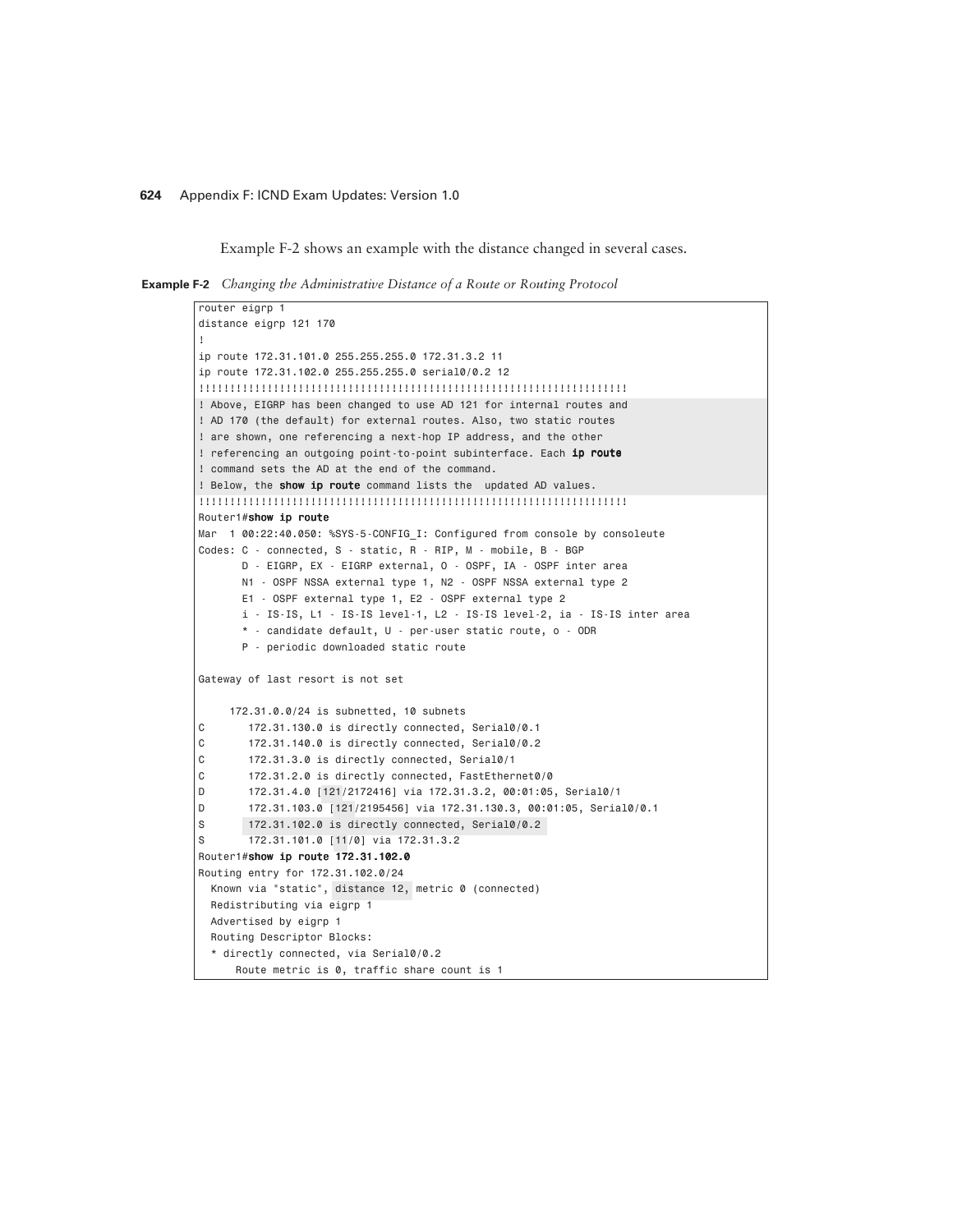Example F-2 shows an example with the distance changed in several cases.

**Example F-2** *Changing the Administrative Distance of a Route or Routing Protocol*

```
router eigrp 1
distance eigrp 121 170
!
ip route 172.31.101.0 255.255.255.0 172.31.3.2 11
ip route 172.31.102.0 255.255.255.0 serial0/0.2 12
!!!!!!!!!!!!!!!!!!!!!!!!!!!!!!!!!!!!!!!!!!!!!!!!!!!!!!!!!!!!!!!!!!!!!
! Above, EIGRP has been changed to use AD 121 for internal routes and
! AD 170 (the default) for external routes. Also, two static routes
! are shown, one referencing a next-hop IP address, and the other
! referencing an outgoing point-to-point subinterface. Each ip route
! command sets the AD at the end of the command.
! Below, the show ip route command lists the updated AD values.
!!!!!!!!!!!!!!!!!!!!!!!!!!!!!!!!!!!!!!!!!!!!!!!!!!!!!!!!!!!!!!!!!!!!!
Router1#show ip route
Mar 1 00:22:40.050: %SYS-5-CONFIG_I: Configured from console by consoleute
Codes: C - connected, S - static, R - RIP, M - mobile, B - BGP
       D - EIGRP, EX - EIGRP external, O - OSPF, IA - OSPF inter area
       N1 - OSPF NSSA external type 1, N2 - OSPF NSSA external type 2
       E1 - OSPF external type 1, E2 - OSPF external type 2
       i - IS-IS, L1 - IS-IS level-1, L2 - IS-IS level-2, ia - IS-IS inter area
       * - candidate default, U - per-user static route, o - ODR
       P - periodic downloaded static route
Gateway of last resort is not set
     172.31.0.0/24 is subnetted, 10 subnets
C 172.31.130.0 is directly connected, Serial0/0.1
C 172.31.140.0 is directly connected, Serial0/0.2
C 172.31.3.0 is directly connected, Serial0/1
C 172.31.2.0 is directly connected, FastEthernet0/0
D 172.31.4.0 [121/2172416] via 172.31.3.2, 00:01:05, Serial0/1
D 172.31.103.0 [121/2195456] via 172.31.130.3, 00:01:05, Serial0/0.1
S 172.31.102.0 is directly connected, Serial0/0.2
S 172.31.101.0 [11/0] via 172.31.3.2
Router1#show ip route 172.31.102.0
Routing entry for 172.31.102.0/24
   Known via "static", distance 12, metric 0 (connected)
   Redistributing via eigrp 1
   Advertised by eigrp 1
   Routing Descriptor Blocks:
   * directly connected, via Serial0/0.2
      Route metric is 0, traffic share count is 1
```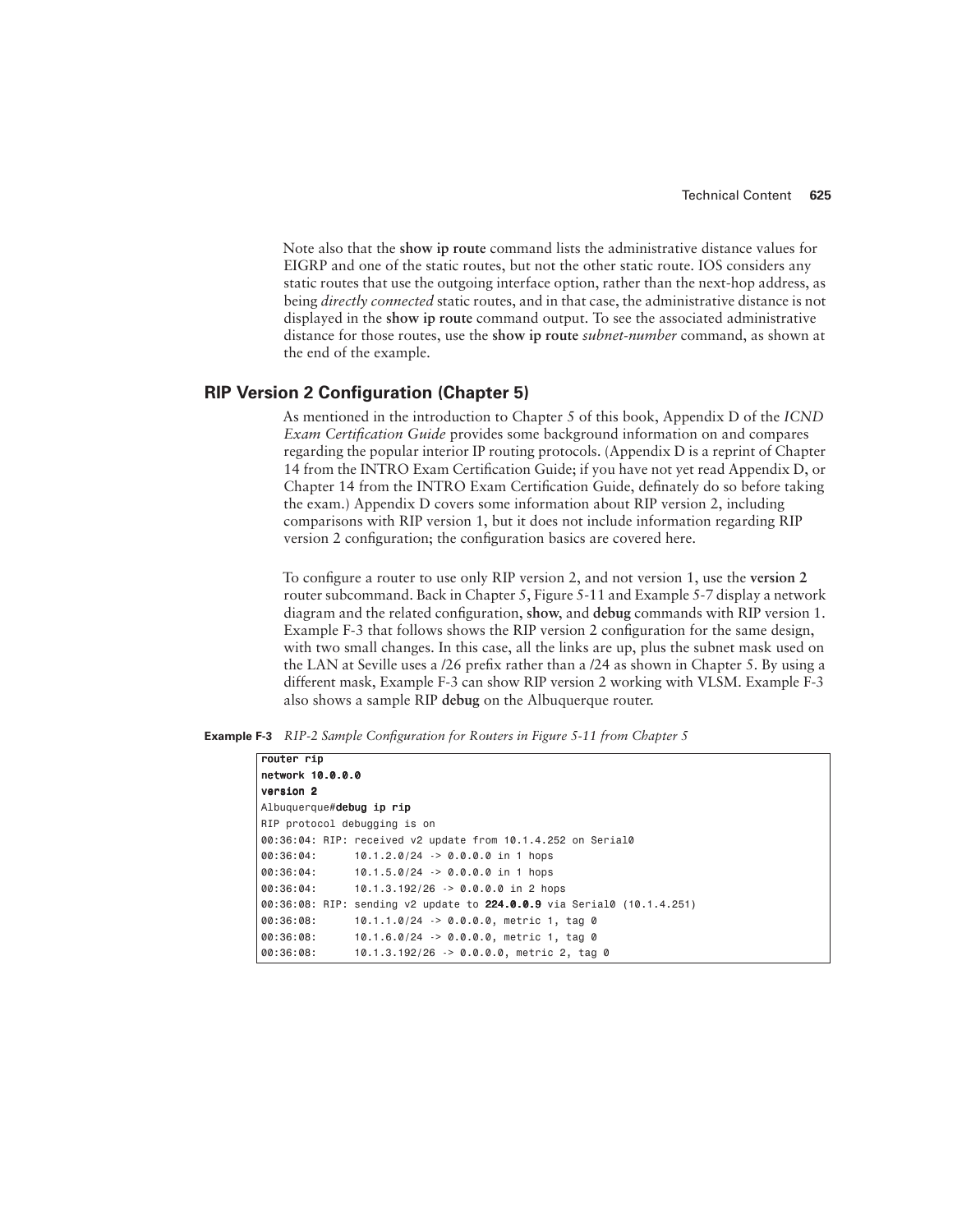Note also that the **show ip route** command lists the administrative distance values for EIGRP and one of the static routes, but not the other static route. IOS considers any static routes that use the outgoing interface option, rather than the next-hop address, as being *directly connected* static routes, and in that case, the administrative distance is not displayed in the **show ip route** command output. To see the associated administrative distance for those routes, use the **show ip route** *subnet-number* command, as shown at the end of the example.

# **RIP Version 2 Configuration (Chapter 5)**

As mentioned in the introduction to Chapter 5 of this book, Appendix D of the *ICND Exam Certification Guide* provides some background information on and compares regarding the popular interior IP routing protocols. (Appendix D is a reprint of Chapter 14 from the INTRO Exam Certification Guide; if you have not yet read Appendix D, or Chapter 14 from the INTRO Exam Certification Guide, definately do so before taking the exam.) Appendix D covers some information about RIP version 2, including comparisons with RIP version 1, but it does not include information regarding RIP version 2 configuration; the configuration basics are covered here.

To configure a router to use only RIP version 2, and not version 1, use the **version 2** router subcommand. Back in Chapter 5, Figure 5-11 and Example 5-7 display a network diagram and the related configuration, **show**, and **debug** commands with RIP version 1. Example F-3 that follows shows the RIP version 2 configuration for the same design, with two small changes. In this case, all the links are up, plus the subnet mask used on the LAN at Seville uses a /26 prefix rather than a /24 as shown in Chapter 5. By using a different mask, Example F-3 can show RIP version 2 working with VLSM. Example F-3 also shows a sample RIP **debug** on the Albuquerque router.

**Example F-3** *RIP-2 Sample Configuration for Routers in Figure 5-11 from Chapter 5*

| router rip               |                                                                               |
|--------------------------|-------------------------------------------------------------------------------|
| network 10.0.0.0         |                                                                               |
| version 2                |                                                                               |
| Albuguergue#debug ip rip |                                                                               |
|                          | RIP protocol debugging is on                                                  |
|                          | 00:36:04: RIP: received v2 update from 10.1.4.252 on Serial0                  |
| 00:36:04:                | $10.1.2.0/24$ -> 0.0.0.0 in 1 hops                                            |
| 00:36:04:                | $10.1.5.0/24 \rightarrow 0.0.0.0$ in 1 hops                                   |
| 00:36:04:                | $10.1.3.192/26$ -> 0.0.0.0 in 2 hops                                          |
|                          | 00:36:08: RIP: sending v2 update to <b>224.0.0.9</b> via Serial0 (10.1.4.251) |
| 00:36:08:                | $10.1.1.0/24$ -> 0.0.0.0, metric 1, tag 0                                     |
| 00:36:08:                | $10.1.6.0/24$ -> 0.0.0.0, metric 1, tag 0                                     |
| 00:36:08:                | $10.1.3.192/26 \rightarrow 0.0.0.0$ , metric 2, tag 0                         |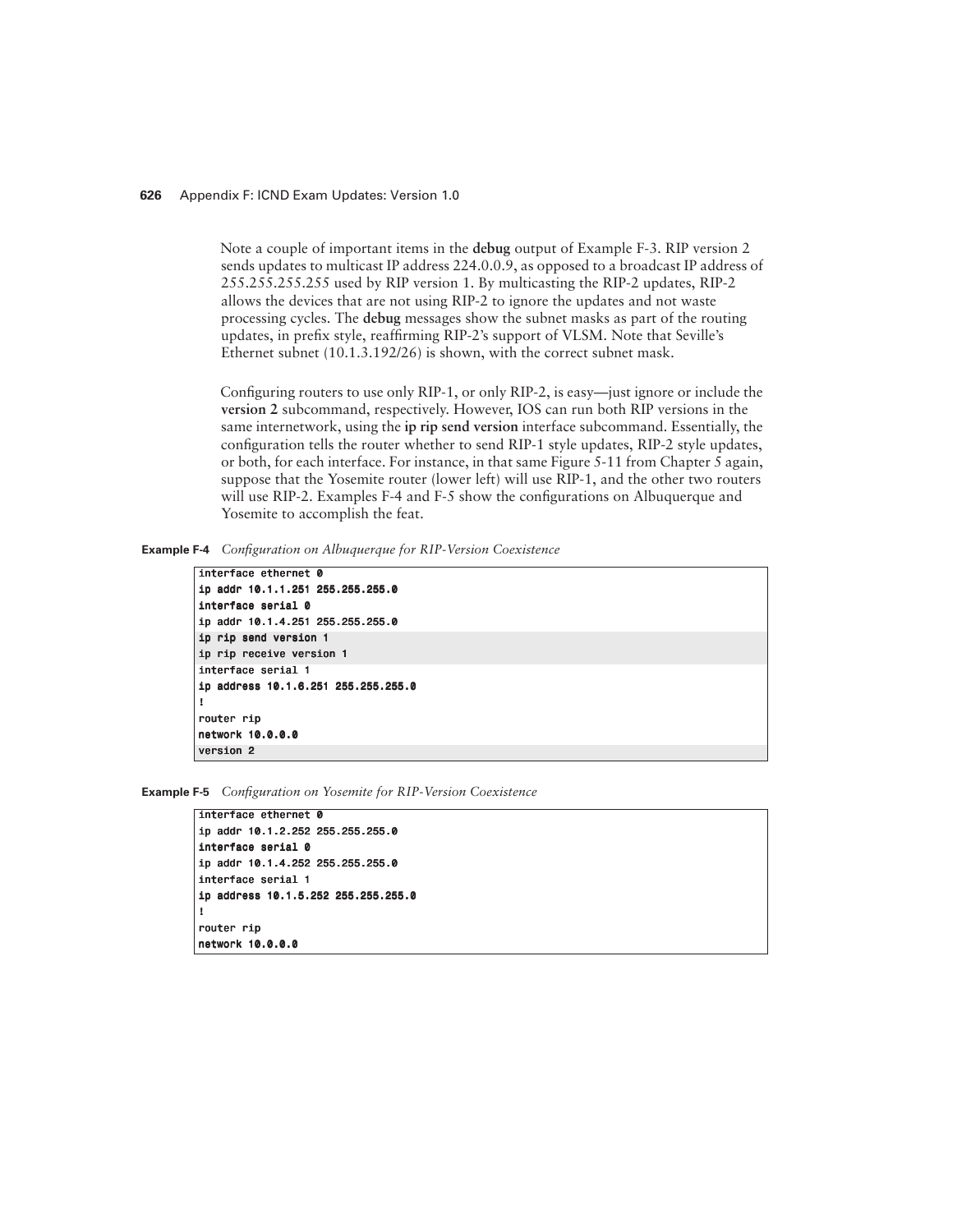Note a couple of important items in the **debug** output of Example F-3. RIP version 2 sends updates to multicast IP address 224.0.0.9, as opposed to a broadcast IP address of 255.255.255.255 used by RIP version 1. By multicasting the RIP-2 updates, RIP-2 allows the devices that are not using RIP-2 to ignore the updates and not waste processing cycles. The **debug** messages show the subnet masks as part of the routing updates, in prefix style, reaffirming RIP-2's support of VLSM. Note that Seville's Ethernet subnet (10.1.3.192/26) is shown, with the correct subnet mask.

Configuring routers to use only RIP-1, or only RIP-2, is easy—just ignore or include the **version 2** subcommand, respectively. However, IOS can run both RIP versions in the same internetwork, using the **ip rip send version** interface subcommand. Essentially, the configuration tells the router whether to send RIP-1 style updates, RIP-2 style updates, or both, for each interface. For instance, in that same Figure 5-11 from Chapter 5 again, suppose that the Yosemite router (lower left) will use RIP-1, and the other two routers will use RIP-2. Examples F-4 and F-5 show the configurations on Albuquerque and Yosemite to accomplish the feat.

**Example F-4** *Configuration on Albuquerque for RIP-Version Coexistence*

```
interface ethernet 0
ip addr 10.1.1.251 255.255.255.0
interface serial 0
ip addr 10.1.4.251 255.255.255.0
ip rip send version 1
ip rip receive version 1
interface serial 1
ip address 10.1.6.251 255.255.255.0
!
router rip
network 10.0.0.0
version 2
```
**Example F-5** *Configuration on Yosemite for RIP-Version Coexistence*

```
interface ethernet 0
ip addr 10.1.2.252 255.255.255.0
interface serial 0
ip addr 10.1.4.252 255.255.255.0
interface serial 1
ip address 10.1.5.252 255.255.255.0
!
router rip
network 10.0.0.0
```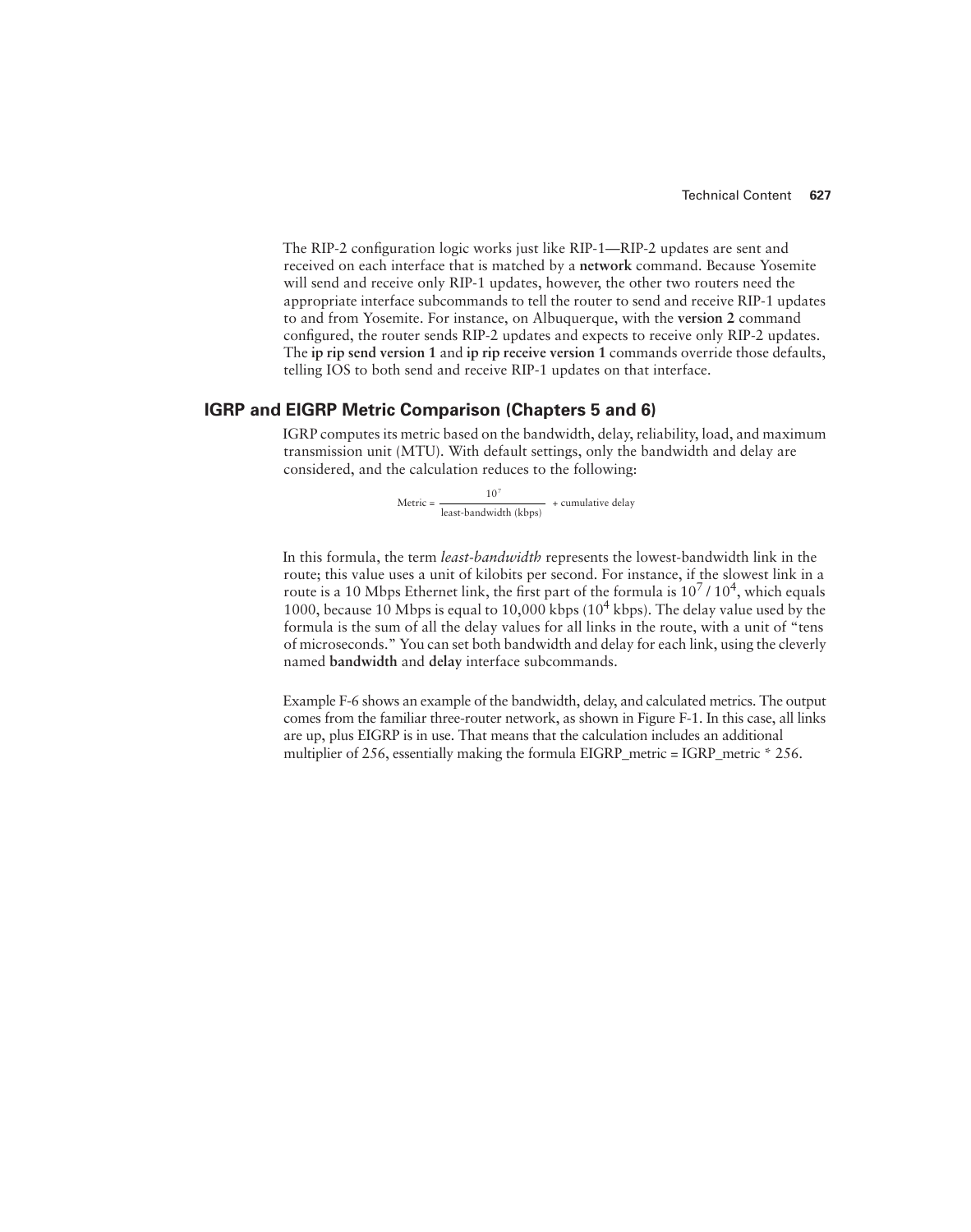The RIP-2 configuration logic works just like RIP-1—RIP-2 updates are sent and received on each interface that is matched by a **network** command. Because Yosemite will send and receive only RIP-1 updates, however, the other two routers need the appropriate interface subcommands to tell the router to send and receive RIP-1 updates to and from Yosemite. For instance, on Albuquerque, with the **version 2** command configured, the router sends RIP-2 updates and expects to receive only RIP-2 updates. The **ip rip send version 1** and **ip rip receive version 1** commands override those defaults, telling IOS to both send and receive RIP-1 updates on that interface.

# **IGRP and EIGRP Metric Comparison (Chapters 5 and 6)**

IGRP computes its metric based on the bandwidth, delay, reliability, load, and maximum transmission unit (MTU). With default settings, only the bandwidth and delay are considered, and the calculation reduces to the following:

> $10^{7}$ Metric =  $\frac{1}{\text{least-bandwidth (kbps)}}$  + cumulative delay

In this formula, the term *least-bandwidth* represents the lowest-bandwidth link in the route; this value uses a unit of kilobits per second. For instance, if the slowest link in a route is a 10 Mbps Ethernet link, the first part of the formula is  $10^7$  /  $10^4$ , which equals 1000, because 10 Mbps is equal to 10,000 kbps  $(10^4 \text{ kbps})$ . The delay value used by the formula is the sum of all the delay values for all links in the route, with a unit of "tens of microseconds." You can set both bandwidth and delay for each link, using the cleverly named **bandwidth** and **delay** interface subcommands.

Example F-6 shows an example of the bandwidth, delay, and calculated metrics. The output comes from the familiar three-router network, as shown in Figure F-1. In this case, all links are up, plus EIGRP is in use. That means that the calculation includes an additional multiplier of 256, essentially making the formula EIGRP\_metric = IGRP\_metric \* 256.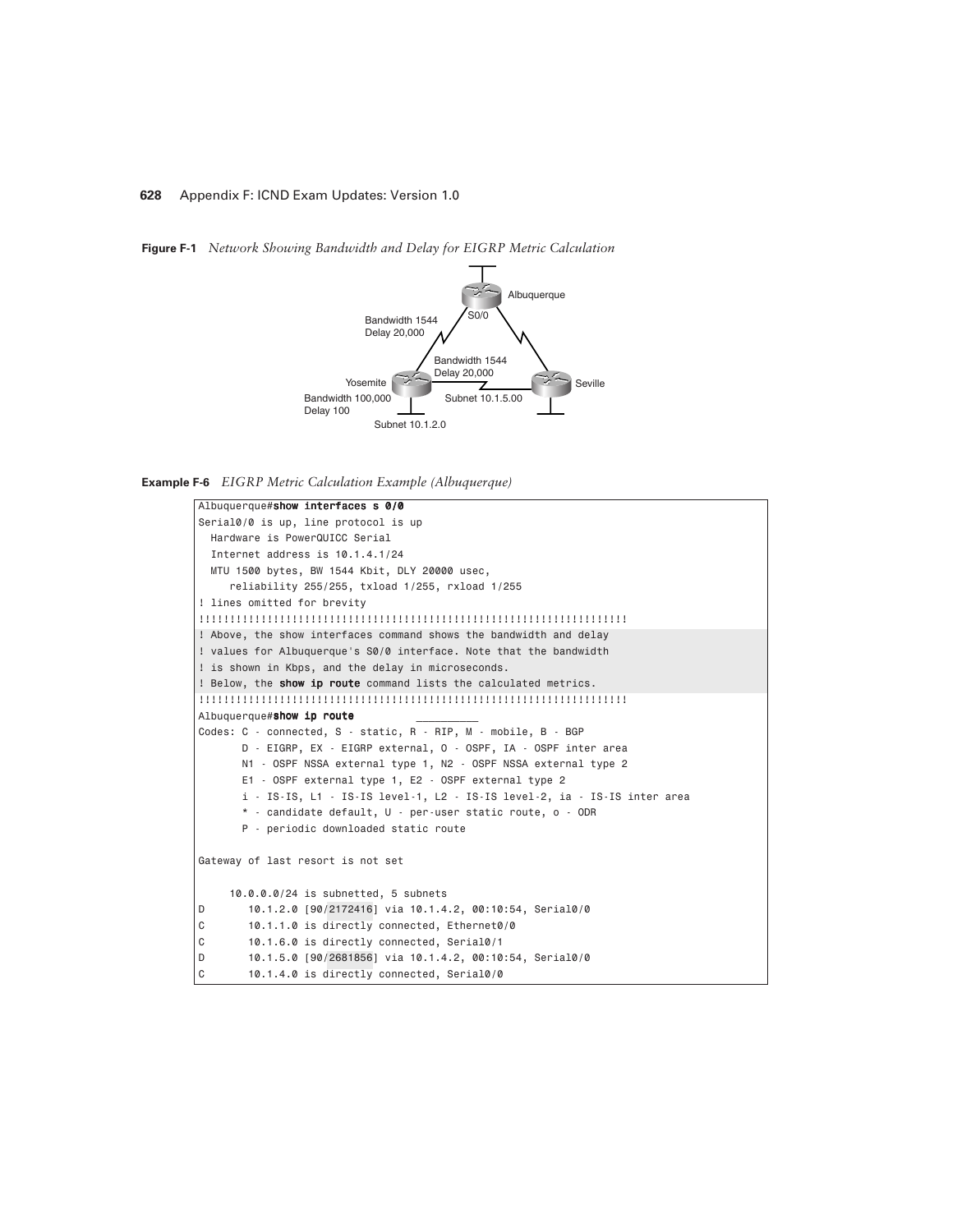**Figure F-1** *Network Showing Bandwidth and Delay for EIGRP Metric Calculation*



**Example F-6** *EIGRP Metric Calculation Example (Albuquerque)*

```
Albuquerque#show interfaces s 0/0
Serial0/0 is up, line protocol is up 
   Hardware is PowerQUICC Serial
   Internet address is 10.1.4.1/24
   MTU 1500 bytes, BW 1544 Kbit, DLY 20000 usec, 
      reliability 255/255, txload 1/255, rxload 1/255
! lines omitted for brevity
!!!!!!!!!!!!!!!!!!!!!!!!!!!!!!!!!!!!!!!!!!!!!!!!!!!!!!!!!!!!!!!!!!!!!
! Above, the show interfaces command shows the bandwidth and delay
! values for Albuquerque's S0/0 interface. Note that the bandwidth
! is shown in Kbps, and the delay in microseconds.
! Below, the show ip route command lists the calculated metrics.
!!!!!!!!!!!!!!!!!!!!!!!!!!!!!!!!!!!!!!!!!!!!!!!!!!!!!!!!!!!!!!!!!!!!!
Albuquerque#show ip route
Codes: C - connected, S - static, R - RIP, M - mobile, B - BGP
        D - EIGRP, EX - EIGRP external, O - OSPF, IA - OSPF inter area 
        N1 - OSPF NSSA external type 1, N2 - OSPF NSSA external type 2
        E1 - OSPF external type 1, E2 - OSPF external type 2
        i - IS-IS, L1 - IS-IS level-1, L2 - IS-IS level-2, ia - IS-IS inter area
        * - candidate default, U - per-user static route, o - ODR
        P - periodic downloaded static route
Gateway of last resort is not set
      10.0.0.0/24 is subnetted, 5 subnets
D 10.1.2.0 [90/2172416] via 10.1.4.2, 00:10:54, Serial0/0
C 10.1.1.0 is directly connected, Ethernet0/0
C 10.1.6.0 is directly connected, Serial0/1
D 10.1.5.0 [90/2681856] via 10.1.4.2, 00:10:54, Serial0/0
C 10.1.4.0 is directly connected, Serial0/0
```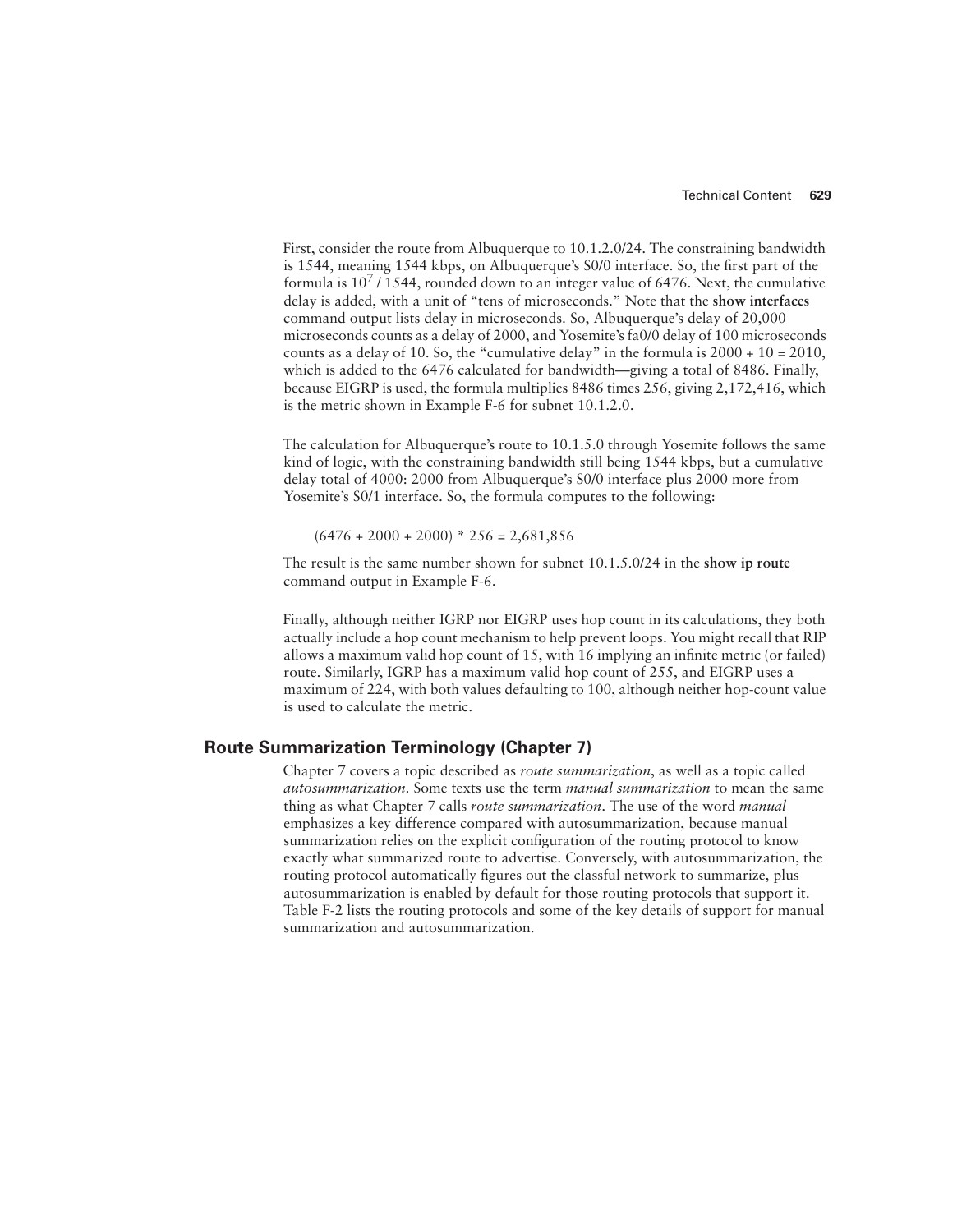First, consider the route from Albuquerque to 10.1.2.0/24. The constraining bandwidth is 1544, meaning 1544 kbps, on Albuquerque's S0/0 interface. So, the first part of the formula is  $10^{7}$  / 1544, rounded down to an integer value of 6476. Next, the cumulative delay is added, with a unit of "tens of microseconds." Note that the **show interfaces** command output lists delay in microseconds. So, Albuquerque's delay of 20,000 microseconds counts as a delay of 2000, and Yosemite's fa0/0 delay of 100 microseconds counts as a delay of 10. So, the "cumulative delay" in the formula is  $2000 + 10 = 2010$ , which is added to the 6476 calculated for bandwidth—giving a total of 8486. Finally, because EIGRP is used, the formula multiplies 8486 times 256, giving 2,172,416, which is the metric shown in Example F-6 for subnet 10.1.2.0.

The calculation for Albuquerque's route to 10.1.5.0 through Yosemite follows the same kind of logic, with the constraining bandwidth still being 1544 kbps, but a cumulative delay total of 4000: 2000 from Albuquerque's S0/0 interface plus 2000 more from Yosemite's S0/1 interface. So, the formula computes to the following:

 $(6476 + 2000 + 2000)$  \* 256 = 2,681,856

The result is the same number shown for subnet 10.1.5.0/24 in the **show ip route** command output in Example F-6.

Finally, although neither IGRP nor EIGRP uses hop count in its calculations, they both actually include a hop count mechanism to help prevent loops. You might recall that RIP allows a maximum valid hop count of 15, with 16 implying an infinite metric (or failed) route. Similarly, IGRP has a maximum valid hop count of 255, and EIGRP uses a maximum of 224, with both values defaulting to 100, although neither hop-count value is used to calculate the metric.

# **Route Summarization Terminology (Chapter 7)**

Chapter 7 covers a topic described as *route summarization*, as well as a topic called *autosummarization*. Some texts use the term *manual summarization* to mean the same thing as what Chapter 7 calls *route summarization*. The use of the word *manual* emphasizes a key difference compared with autosummarization, because manual summarization relies on the explicit configuration of the routing protocol to know exactly what summarized route to advertise. Conversely, with autosummarization, the routing protocol automatically figures out the classful network to summarize, plus autosummarization is enabled by default for those routing protocols that support it. Table F-2 lists the routing protocols and some of the key details of support for manual summarization and autosummarization.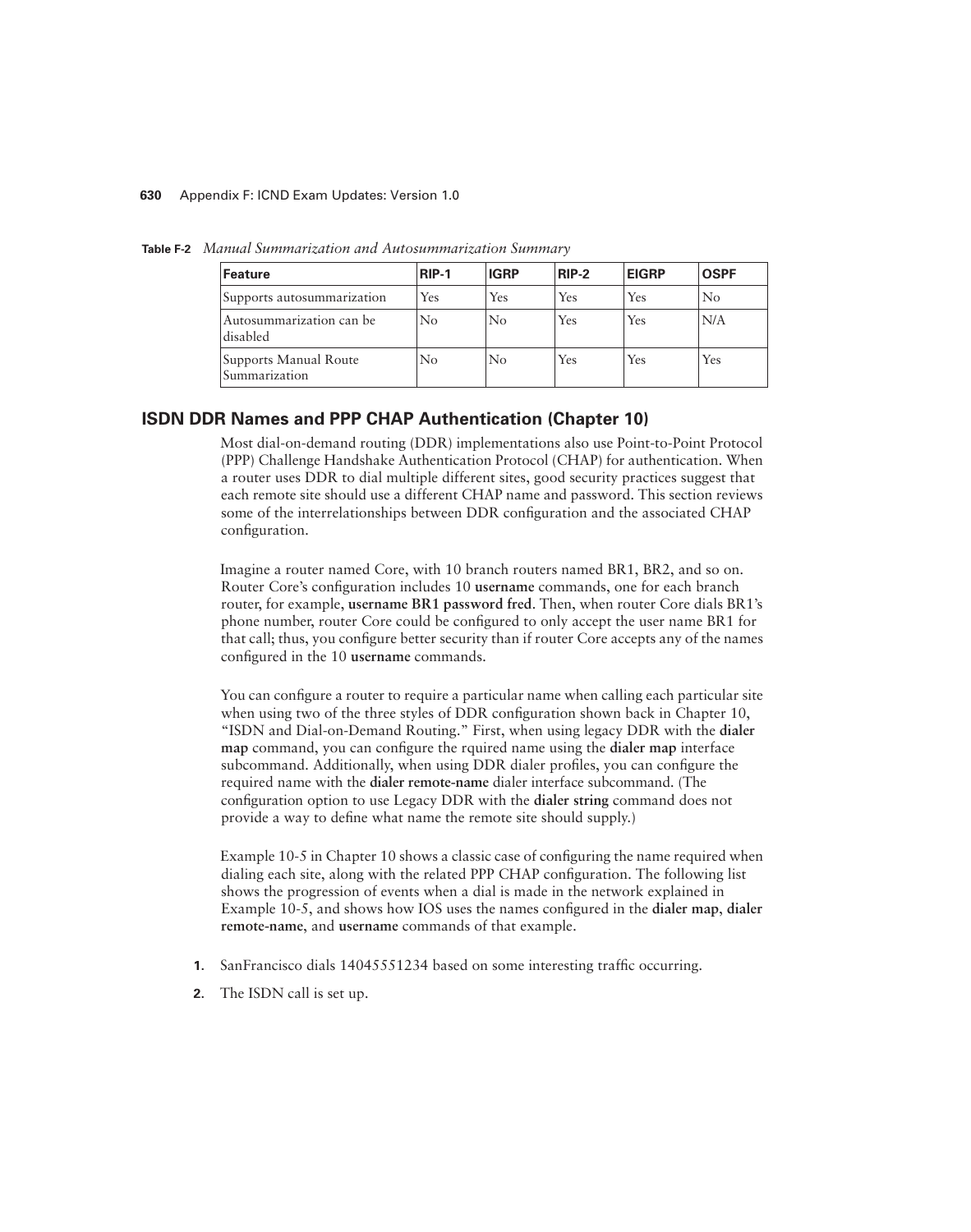| <b>Feature</b>                         | <b>RIP-1</b> | <b>IGRP</b> | <b>RIP-2</b> | <b>EIGRP</b> | <b>OSPF</b> |
|----------------------------------------|--------------|-------------|--------------|--------------|-------------|
| Supports autosummarization             | Yes          | Yes         | Yes          | Yes          | No          |
| Autosummarization can be<br>disabled   | No           | No          | <b>Yes</b>   | Yes          | N/A         |
| Supports Manual Route<br>Summarization | No           | No          | Yes          | Yes          | <b>Yes</b>  |

**Table F-2** *Manual Summarization and Autosummarization Summary*

### **ISDN DDR Names and PPP CHAP Authentication (Chapter 10)**

Most dial-on-demand routing (DDR) implementations also use Point-to-Point Protocol (PPP) Challenge Handshake Authentication Protocol (CHAP) for authentication. When a router uses DDR to dial multiple different sites, good security practices suggest that each remote site should use a different CHAP name and password. This section reviews some of the interrelationships between DDR configuration and the associated CHAP configuration.

Imagine a router named Core, with 10 branch routers named BR1, BR2, and so on. Router Core's configuration includes 10 **username** commands, one for each branch router, for example, **username BR1 password fred**. Then, when router Core dials BR1's phone number, router Core could be configured to only accept the user name BR1 for that call; thus, you configure better security than if router Core accepts any of the names configured in the 10 **username** commands.

You can configure a router to require a particular name when calling each particular site when using two of the three styles of DDR configuration shown back in Chapter 10, "ISDN and Dial-on-Demand Routing." First, when using legacy DDR with the **dialer map** command, you can configure the rquired name using the **dialer map** interface subcommand. Additionally, when using DDR dialer profiles, you can configure the required name with the **dialer remote-name** dialer interface subcommand. (The configuration option to use Legacy DDR with the **dialer string** command does not provide a way to define what name the remote site should supply.)

Example 10-5 in Chapter 10 shows a classic case of configuring the name required when dialing each site, along with the related PPP CHAP configuration. The following list shows the progression of events when a dial is made in the network explained in Example 10-5, and shows how IOS uses the names configured in the **dialer map**, **dialer remote-name**, and **username** commands of that example.

- **1.** SanFrancisco dials 14045551234 based on some interesting traffic occurring.
- **2.** The ISDN call is set up.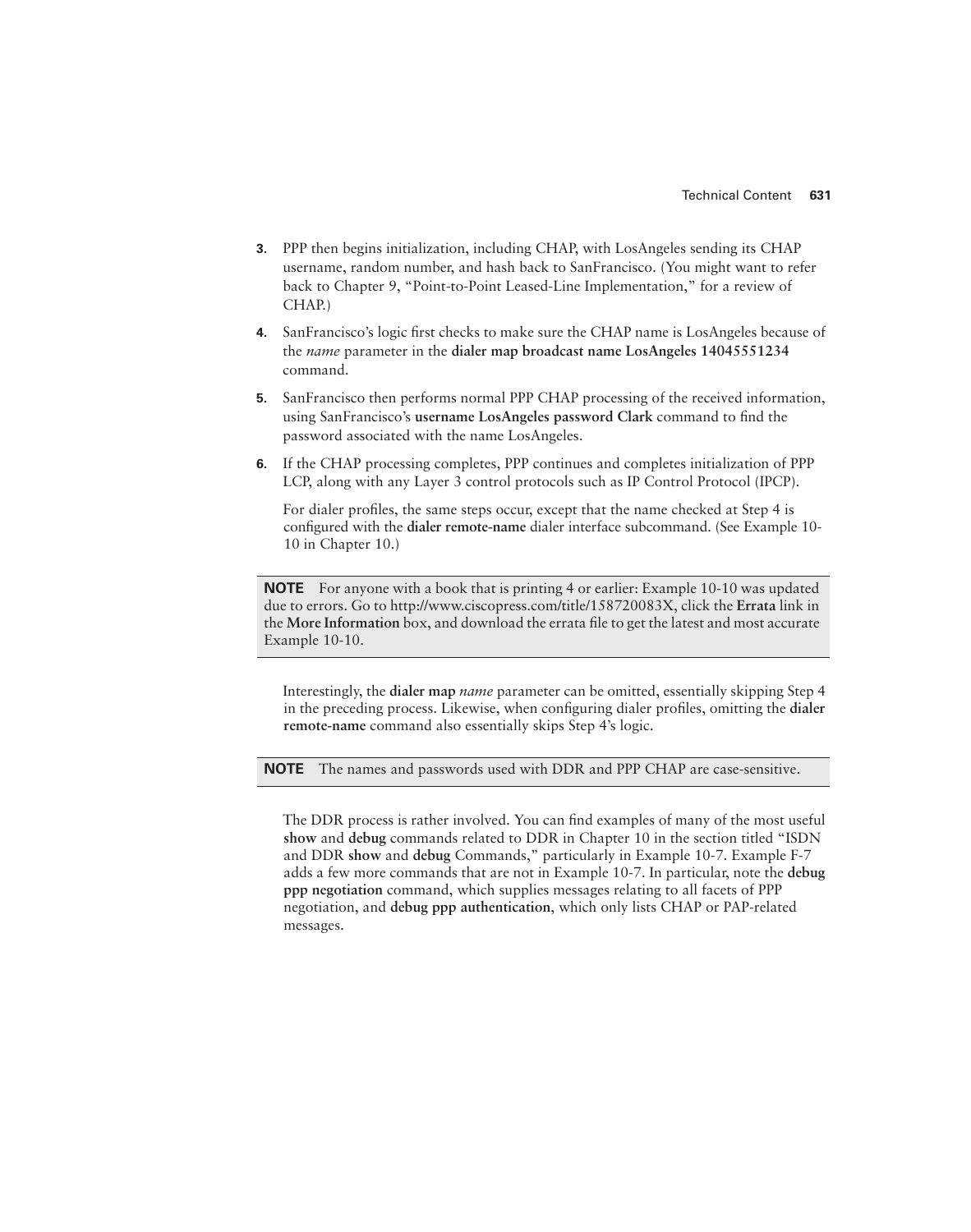- **3.** PPP then begins initialization, including CHAP, with LosAngeles sending its CHAP username, random number, and hash back to SanFrancisco. (You might want to refer back to Chapter 9, "Point-to-Point Leased-Line Implementation," for a review of CHAP.)
- **4.** SanFrancisco's logic first checks to make sure the CHAP name is LosAngeles because of the *name* parameter in the **dialer map broadcast name LosAngeles 14045551234** command.
- **5.** SanFrancisco then performs normal PPP CHAP processing of the received information, using SanFrancisco's **username LosAngeles password Clark** command to find the password associated with the name LosAngeles.
- **6.** If the CHAP processing completes, PPP continues and completes initialization of PPP LCP, along with any Layer 3 control protocols such as IP Control Protocol (IPCP).

For dialer profiles, the same steps occur, except that the name checked at Step 4 is configured with the **dialer remote-name** dialer interface subcommand. (See Example 10- 10 in Chapter 10.)

**NOTE** For anyone with a book that is printing 4 or earlier: Example 10-10 was updated due to errors. Go to http://www.ciscopress.com/title/158720083X, click the **Errata** link in the **More Information** box, and download the errata file to get the latest and most accurate Example 10-10.

Interestingly, the **dialer map** *name* parameter can be omitted, essentially skipping Step 4 in the preceding process. Likewise, when configuring dialer profiles, omitting the **dialer remote-name** command also essentially skips Step 4's logic.

**NOTE** The names and passwords used with DDR and PPP CHAP are case-sensitive.

The DDR process is rather involved. You can find examples of many of the most useful **show** and **debug** commands related to DDR in Chapter 10 in the section titled "ISDN and DDR **show** and **debug** Commands," particularly in Example 10-7. Example F-7 adds a few more commands that are not in Example 10-7. In particular, note the **debug ppp negotiation** command, which supplies messages relating to all facets of PPP negotiation, and **debug ppp authentication**, which only lists CHAP or PAP-related messages.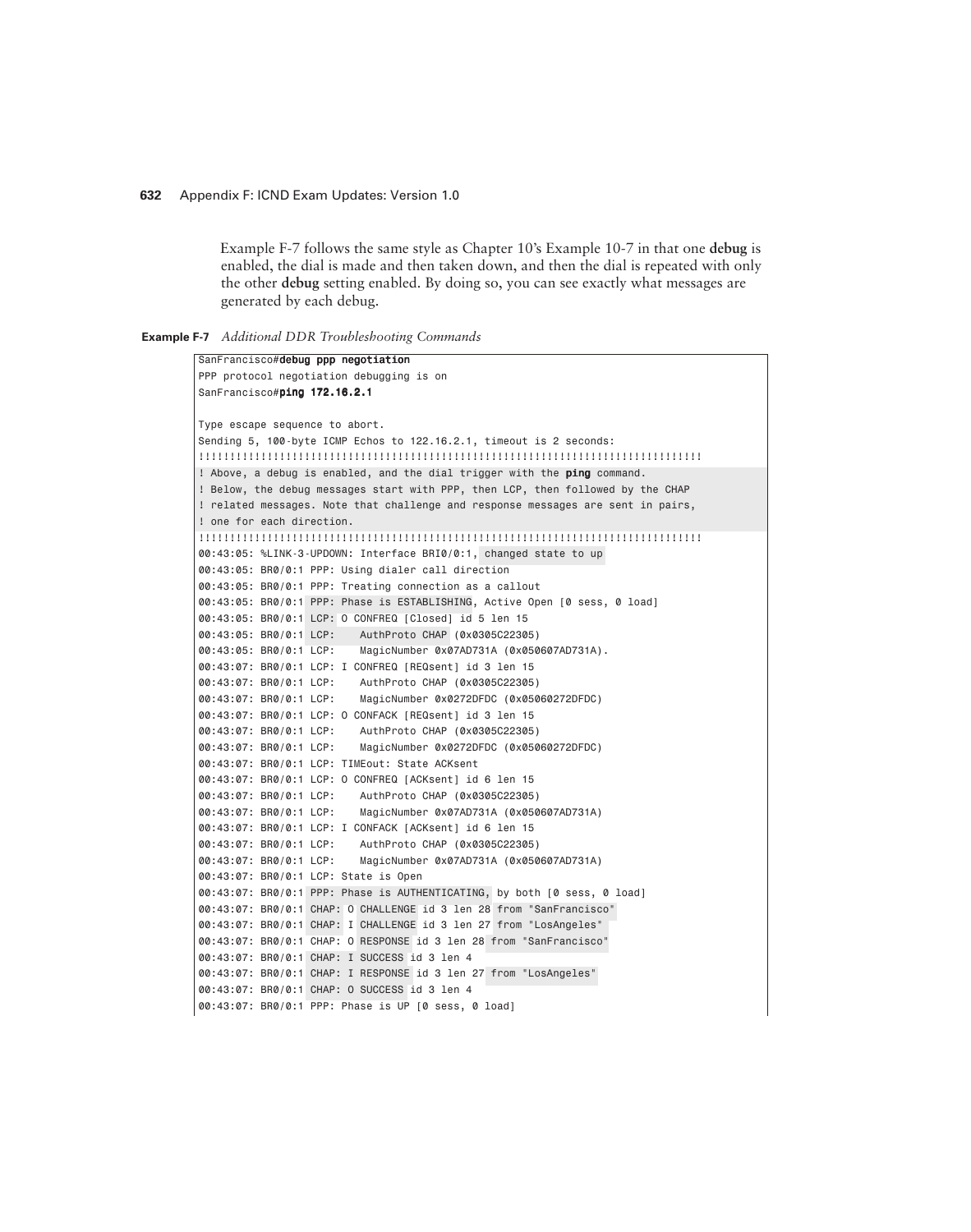Example F-7 follows the same style as Chapter 10's Example 10-7 in that one **debug** is enabled, the dial is made and then taken down, and then the dial is repeated with only the other **debug** setting enabled. By doing so, you can see exactly what messages are generated by each debug.

**Example F-7** *Additional DDR Troubleshooting Commands* 

```
SanFrancisco#debug ppp negotiation
PPP protocol negotiation debugging is on
SanFrancisco#ping 172.16.2.1
Type escape sequence to abort.
Sending 5, 100-byte ICMP Echos to 122.16.2.1, timeout is 2 seconds:
!!!!!!!!!!!!!!!!!!!!!!!!!!!!!!!!!!!!!!!!!!!!!!!!!!!!!!!!!!!!!!!!!!!!!!!!!!!!!!!!!
! Above, a debug is enabled, and the dial trigger with the ping command.
! Below, the debug messages start with PPP, then LCP, then followed by the CHAP
! related messages. Note that challenge and response messages are sent in pairs,
! one for each direction. 
!!!!!!!!!!!!!!!!!!!!!!!!!!!!!!!!!!!!!!!!!!!!!!!!!!!!!!!!!!!!!!!!!!!!!!!!!!!!!!!!!
00:43:05: %LINK-3-UPDOWN: Interface BRI0/0:1, changed state to up
00:43:05: BR0/0:1 PPP: Using dialer call direction
00:43:05: BR0/0:1 PPP: Treating connection as a callout
00:43:05: BR0/0:1 PPP: Phase is ESTABLISHING, Active Open [0 sess, 0 load]
00:43:05: BR0/0:1 LCP: O CONFREQ [Closed] id 5 len 15
00:43:05: BR0/0:1 LCP: AuthProto CHAP (0x0305C22305)
00:43:05: BR0/0:1 LCP: MagicNumber 0x07AD731A (0x050607AD731A).
00:43:07: BR0/0:1 LCP: I CONFREQ [REQsent] id 3 len 15
00:43:07: BR0/0:1 LCP: AuthProto CHAP (0x0305C22305)
00:43:07: BR0/0:1 LCP: MagicNumber 0x0272DFDC (0x05060272DFDC)
00:43:07: BR0/0:1 LCP: O CONFACK [REQsent] id 3 len 15
00:43:07: BR0/0:1 LCP: AuthProto CHAP (0x0305C22305)
00:43:07: BR0/0:1 LCP: MagicNumber 0x0272DFDC (0x05060272DFDC)
00:43:07: BR0/0:1 LCP: TIMEout: State ACKsent
00:43:07: BR0/0:1 LCP: O CONFREQ [ACKsent] id 6 len 15
00:43:07: BR0/0:1 LCP: AuthProto CHAP (0x0305C22305)
00:43:07: BR0/0:1 LCP: MagicNumber 0x07AD731A (0x050607AD731A)
00:43:07: BR0/0:1 LCP: I CONFACK [ACKsent] id 6 len 15
00:43:07: BR0/0:1 LCP: AuthProto CHAP (0x0305C22305)
00:43:07: BR0/0:1 LCP: MagicNumber 0x07AD731A (0x050607AD731A)
00:43:07: BR0/0:1 LCP: State is Open
00:43:07: BR0/0:1 PPP: Phase is AUTHENTICATING, by both [0 sess, 0 load]
00:43:07: BR0/0:1 CHAP: O CHALLENGE id 3 len 28 from "SanFrancisco"
00:43:07: BR0/0:1 CHAP: I CHALLENGE id 3 len 27 from "LosAngeles"
00:43:07: BR0/0:1 CHAP: O RESPONSE id 3 len 28 from "SanFrancisco"
00:43:07: BR0/0:1 CHAP: I SUCCESS id 3 len 4
00:43:07: BR0/0:1 CHAP: I RESPONSE id 3 len 27 from "LosAngeles"
00:43:07: BR0/0:1 CHAP: O SUCCESS id 3 len 4
00:43:07: BR0/0:1 PPP: Phase is UP [0 sess, 0 load]
```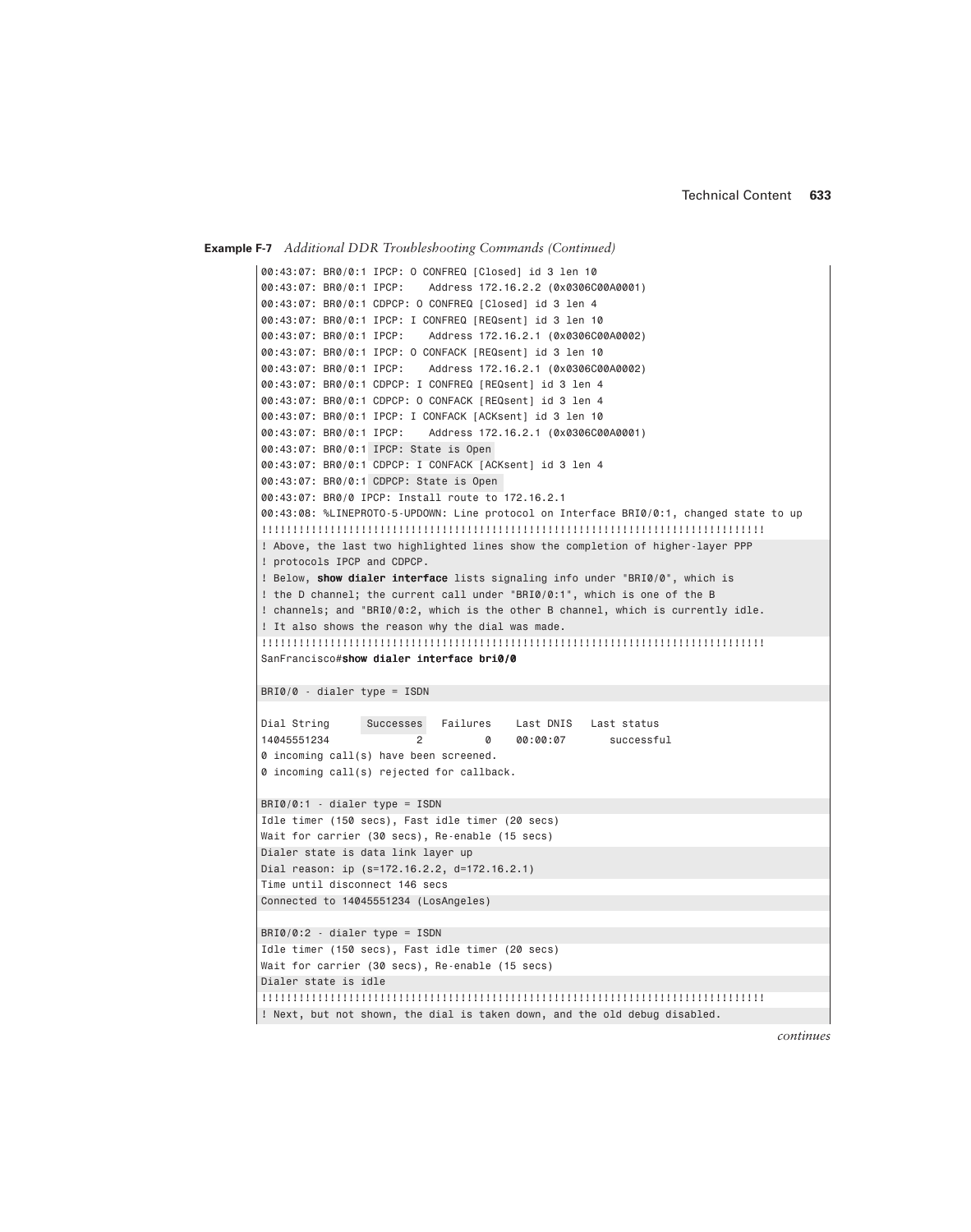```
00:43:07: BR0/0:1 IPCP: O CONFREQ [Closed] id 3 len 10
00:43:07: BR0/0:1 IPCP: Address 172.16.2.2 (0x0306C00A0001)
00:43:07: BR0/0:1 CDPCP: O CONFREQ [Closed] id 3 len 4
00:43:07: BR0/0:1 IPCP: I CONFREQ [REQsent] id 3 len 10
00:43:07: BR0/0:1 IPCP: Address 172.16.2.1 (0x0306C00A0002)
00:43:07: BR0/0:1 IPCP: O CONFACK [REQsent] id 3 len 10
00:43:07: BR0/0:1 IPCP: Address 172.16.2.1 (0x0306C00A0002)
00:43:07: BR0/0:1 CDPCP: I CONFREQ [REQsent] id 3 len 4
00:43:07: BR0/0:1 CDPCP: O CONFACK [REQsent] id 3 len 4
00:43:07: BR0/0:1 IPCP: I CONFACK [ACKsent] id 3 len 10
00:43:07: BR0/0:1 IPCP: Address 172.16.2.1 (0x0306C00A0001)
00:43:07: BR0/0:1 IPCP: State is Open
00:43:07: BR0/0:1 CDPCP: I CONFACK [ACKsent] id 3 len 4
00:43:07: BR0/0:1 CDPCP: State is Open
00:43:07: BR0/0 IPCP: Install route to 172.16.2.1
00:43:08: %LINEPROTO-5-UPDOWN: Line protocol on Interface BRI0/0:1, changed state to up
!!!!!!!!!!!!!!!!!!!!!!!!!!!!!!!!!!!!!!!!!!!!!!!!!!!!!!!!!!!!!!!!!!!!!!!!!!!!!!!!!
! Above, the last two highlighted lines show the completion of higher-layer PPP
! protocols IPCP and CDPCP.
! Below, show dialer interface lists signaling info under "BRI0/0", which is 
! the D channel; the current call under "BRI0/0:1", which is one of the B
! channels; and "BRI0/0:2, which is the other B channel, which is currently idle.
! It also shows the reason why the dial was made. 
!!!!!!!!!!!!!!!!!!!!!!!!!!!!!!!!!!!!!!!!!!!!!!!!!!!!!!!!!!!!!!!!!!!!!!!!!!!!!!!!!
SanFrancisco#show dialer interface bri0/0
BRI0/0 - dialer type = ISDN
Dial String Successes Failures Last DNIS Last status
14045551234 2 0 00:00:07 successful
0 incoming call(s) have been screened.
0 incoming call(s) rejected for callback.
BRI0/0:1 - dialer type = ISDN
Idle timer (150 secs), Fast idle timer (20 secs)
Wait for carrier (30 secs), Re-enable (15 secs)
Dialer state is data link layer up
Dial reason: ip (s=172.16.2.2, d=172.16.2.1)
Time until disconnect 146 secs
Connected to 14045551234 (LosAngeles)
BRI0/0:2 - dialer type = ISDN
Idle timer (150 secs), Fast idle timer (20 secs)
Wait for carrier (30 secs), Re-enable (15 secs)
Dialer state is idle
!!!!!!!!!!!!!!!!!!!!!!!!!!!!!!!!!!!!!!!!!!!!!!!!!!!!!!!!!!!!!!!!!!!!!!!!!!!!!!!!!
\vert ! Next, but not shown, the dial is taken down, and the old debug disabled.
```
**Example F-7** *Additional DDR Troubleshooting Commands (Continued)*

*continues*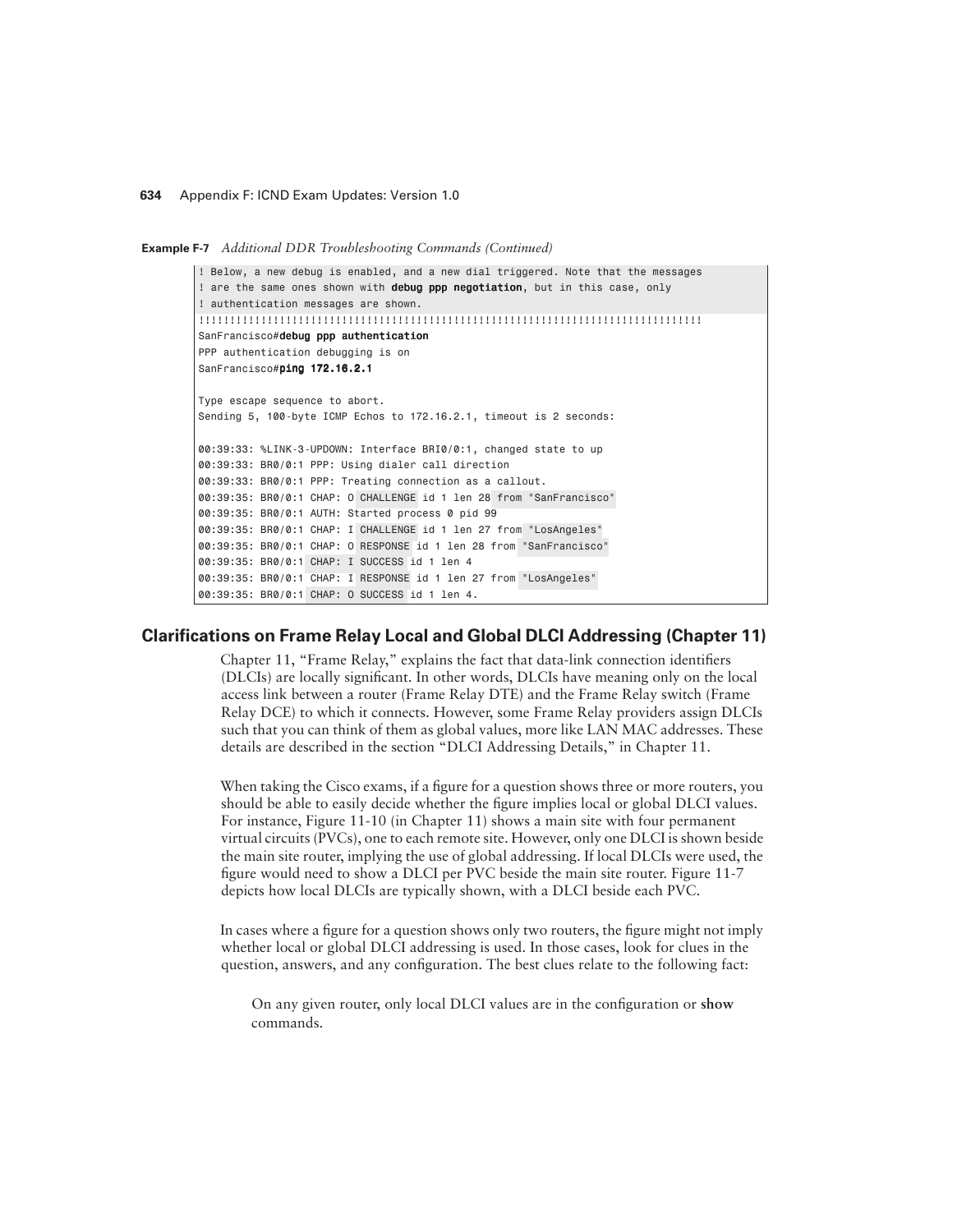**Example F-7** *Additional DDR Troubleshooting Commands (Continued)*

```
! Below, a new debug is enabled, and a new dial triggered. Note that the messages
! are the same ones shown with debug ppp negotiation, but in this case, only
! authentication messages are shown.
!!!!!!!!!!!!!!!!!!!!!!!!!!!!!!!!!!!!!!!!!!!!!!!!!!!!!!!!!!!!!!!!!!!!!!!!!!!!!!!!!
SanFrancisco#debug ppp authentication
PPP authentication debugging is on
SanFrancisco#ping 172.16.2.1
Type escape sequence to abort.
Sending 5, 100-byte ICMP Echos to 172.16.2.1, timeout is 2 seconds:
00:39:33: %LINK-3-UPDOWN: Interface BRI0/0:1, changed state to up
00:39:33: BR0/0:1 PPP: Using dialer call direction
00:39:33: BR0/0:1 PPP: Treating connection as a callout.
00:39:35: BR0/0:1 CHAP: O CHALLENGE id 1 len 28 from "SanFrancisco"
00:39:35: BR0/0:1 AUTH: Started process 0 pid 99
00:39:35: BR0/0:1 CHAP: I CHALLENGE id 1 len 27 from "LosAngeles"
00:39:35: BR0/0:1 CHAP: O RESPONSE id 1 len 28 from "SanFrancisco"
00:39:35: BR0/0:1 CHAP: I SUCCESS id 1 len 4
00:39:35: BR0/0:1 CHAP: I RESPONSE id 1 len 27 from "LosAngeles"
00:39:35: BR0/0:1 CHAP: O SUCCESS id 1 len 4.
```
# **Clarifications on Frame Relay Local and Global DLCI Addressing (Chapter 11)**

Chapter 11, "Frame Relay," explains the fact that data-link connection identifiers (DLCIs) are locally significant. In other words, DLCIs have meaning only on the local access link between a router (Frame Relay DTE) and the Frame Relay switch (Frame Relay DCE) to which it connects. However, some Frame Relay providers assign DLCIs such that you can think of them as global values, more like LAN MAC addresses. These details are described in the section "DLCI Addressing Details," in Chapter 11.

When taking the Cisco exams, if a figure for a question shows three or more routers, you should be able to easily decide whether the figure implies local or global DLCI values. For instance, Figure 11-10 (in Chapter 11) shows a main site with four permanent virtual circuits (PVCs), one to each remote site. However, only one DLCI is shown beside the main site router, implying the use of global addressing. If local DLCIs were used, the figure would need to show a DLCI per PVC beside the main site router. Figure 11-7 depicts how local DLCIs are typically shown, with a DLCI beside each PVC.

In cases where a figure for a question shows only two routers, the figure might not imply whether local or global DLCI addressing is used. In those cases, look for clues in the question, answers, and any configuration. The best clues relate to the following fact:

On any given router, only local DLCI values are in the configuration or **show** commands.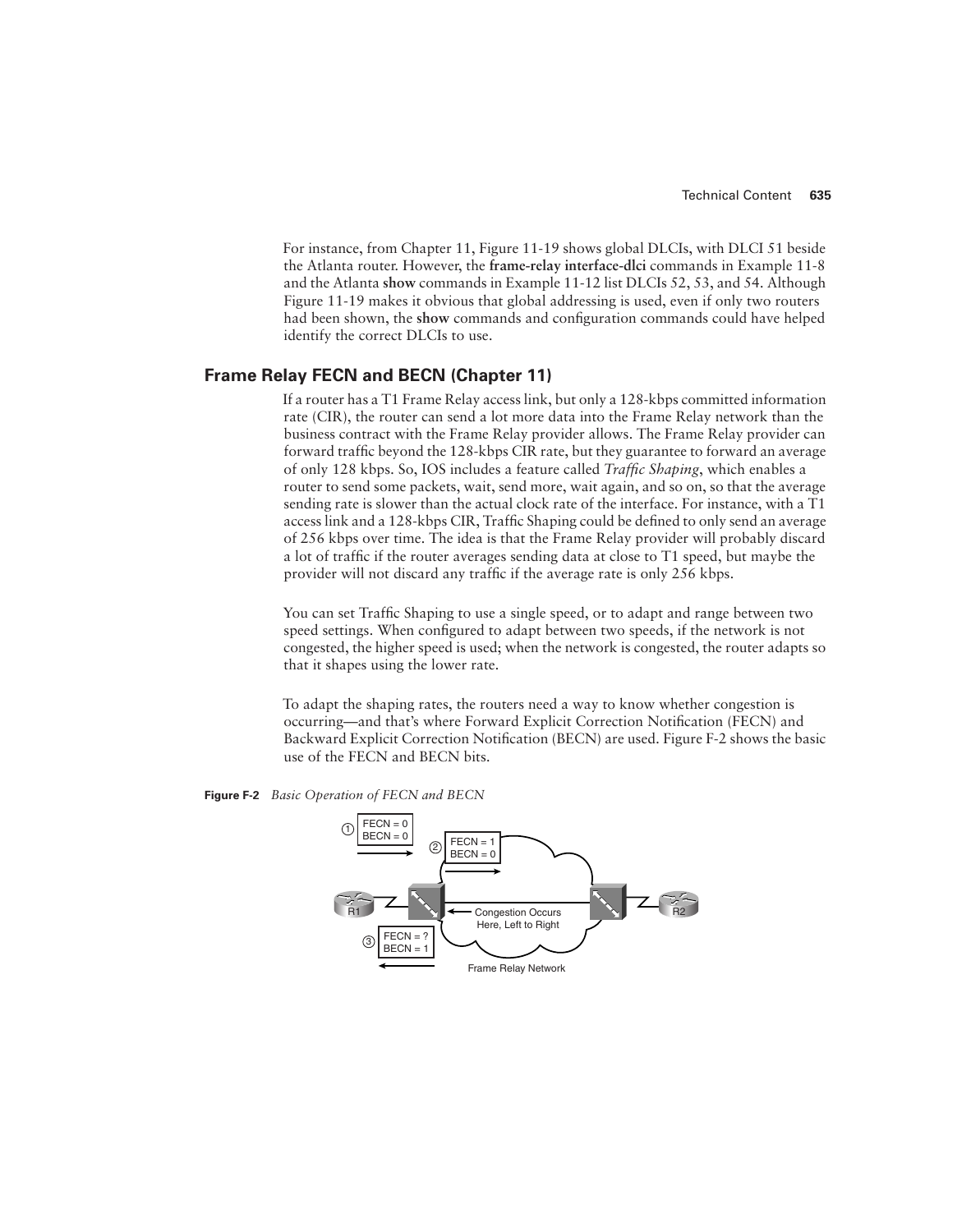For instance, from Chapter 11, Figure 11-19 shows global DLCIs, with DLCI 51 beside the Atlanta router. However, the **frame-relay interface-dlci** commands in Example 11-8 and the Atlanta **show** commands in Example 11-12 list DLCIs 52, 53, and 54. Although Figure 11-19 makes it obvious that global addressing is used, even if only two routers had been shown, the **show** commands and configuration commands could have helped identify the correct DLCIs to use.

# **Frame Relay FECN and BECN (Chapter 11)**

If a router has a T1 Frame Relay access link, but only a 128-kbps committed information rate (CIR), the router can send a lot more data into the Frame Relay network than the business contract with the Frame Relay provider allows. The Frame Relay provider can forward traffic beyond the 128-kbps CIR rate, but they guarantee to forward an average of only 128 kbps. So, IOS includes a feature called *Traffic Shaping*, which enables a router to send some packets, wait, send more, wait again, and so on, so that the average sending rate is slower than the actual clock rate of the interface. For instance, with a T1 access link and a 128-kbps CIR, Traffic Shaping could be defined to only send an average of 256 kbps over time. The idea is that the Frame Relay provider will probably discard a lot of traffic if the router averages sending data at close to T1 speed, but maybe the provider will not discard any traffic if the average rate is only 256 kbps.

You can set Traffic Shaping to use a single speed, or to adapt and range between two speed settings. When configured to adapt between two speeds, if the network is not congested, the higher speed is used; when the network is congested, the router adapts so that it shapes using the lower rate.

To adapt the shaping rates, the routers need a way to know whether congestion is occurring—and that's where Forward Explicit Correction Notification (FECN) and Backward Explicit Correction Notification (BECN) are used. Figure F-2 shows the basic use of the FECN and BECN bits.



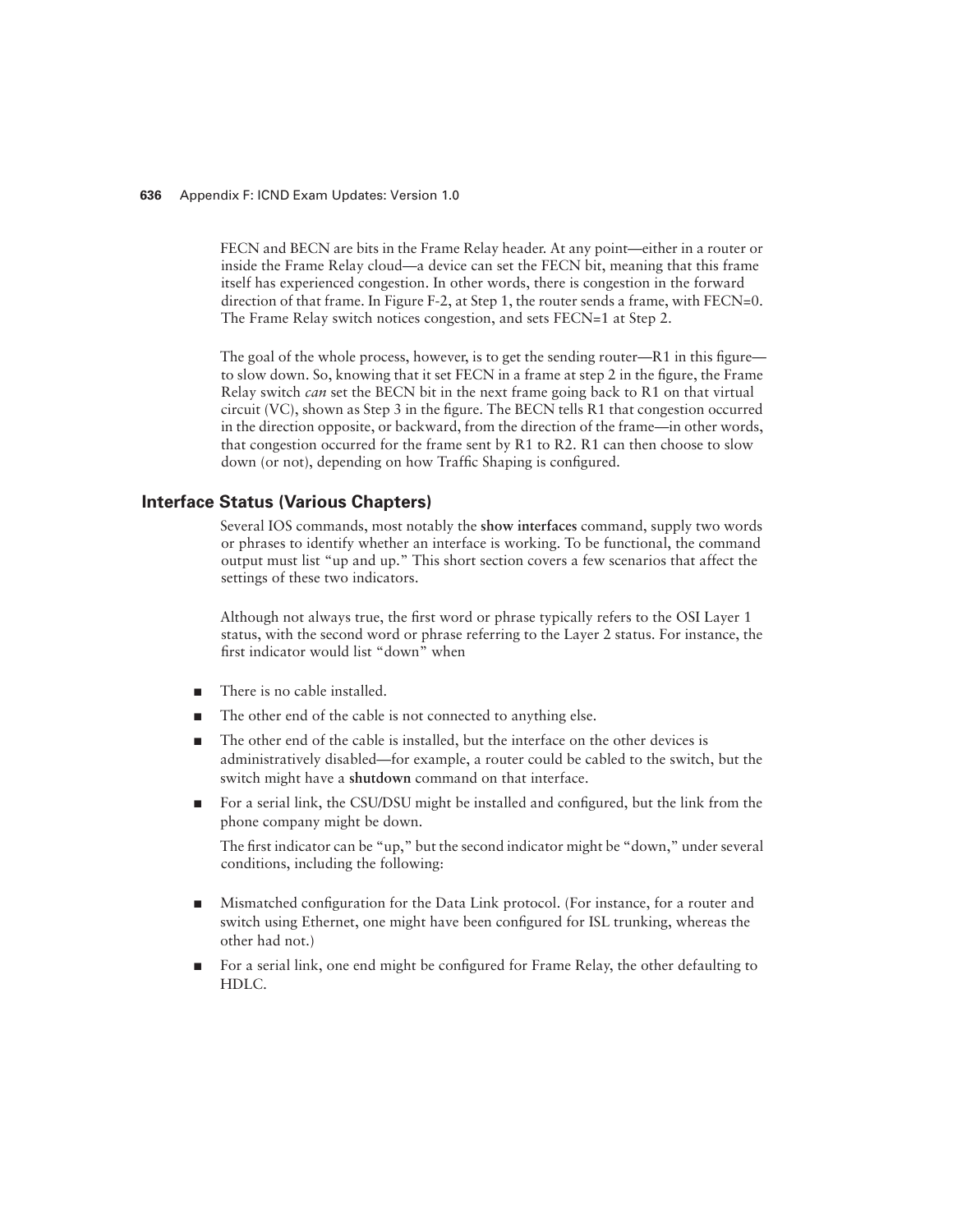FECN and BECN are bits in the Frame Relay header. At any point—either in a router or inside the Frame Relay cloud—a device can set the FECN bit, meaning that this frame itself has experienced congestion. In other words, there is congestion in the forward direction of that frame. In Figure F-2, at Step 1, the router sends a frame, with FECN=0. The Frame Relay switch notices congestion, and sets FECN=1 at Step 2.

The goal of the whole process, however, is to get the sending router—R1 in this figure to slow down. So, knowing that it set FECN in a frame at step 2 in the figure, the Frame Relay switch *can* set the BECN bit in the next frame going back to R1 on that virtual circuit (VC), shown as Step 3 in the figure. The BECN tells R1 that congestion occurred in the direction opposite, or backward, from the direction of the frame—in other words, that congestion occurred for the frame sent by R1 to R2. R1 can then choose to slow down (or not), depending on how Traffic Shaping is configured.

# **Interface Status (Various Chapters)**

Several IOS commands, most notably the **show interfaces** command, supply two words or phrases to identify whether an interface is working. To be functional, the command output must list "up and up." This short section covers a few scenarios that affect the settings of these two indicators.

Although not always true, the first word or phrase typically refers to the OSI Layer 1 status, with the second word or phrase referring to the Layer 2 status. For instance, the first indicator would list "down" when

- There is no cable installed.
- The other end of the cable is not connected to anything else.
- The other end of the cable is installed, but the interface on the other devices is administratively disabled—for example, a router could be cabled to the switch, but the switch might have a **shutdown** command on that interface.
- For a serial link, the CSU/DSU might be installed and configured, but the link from the phone company might be down.

The first indicator can be "up," but the second indicator might be "down," under several conditions, including the following:

- Mismatched configuration for the Data Link protocol. (For instance, for a router and switch using Ethernet, one might have been configured for ISL trunking, whereas the other had not.)
- For a serial link, one end might be configured for Frame Relay, the other defaulting to HDLC.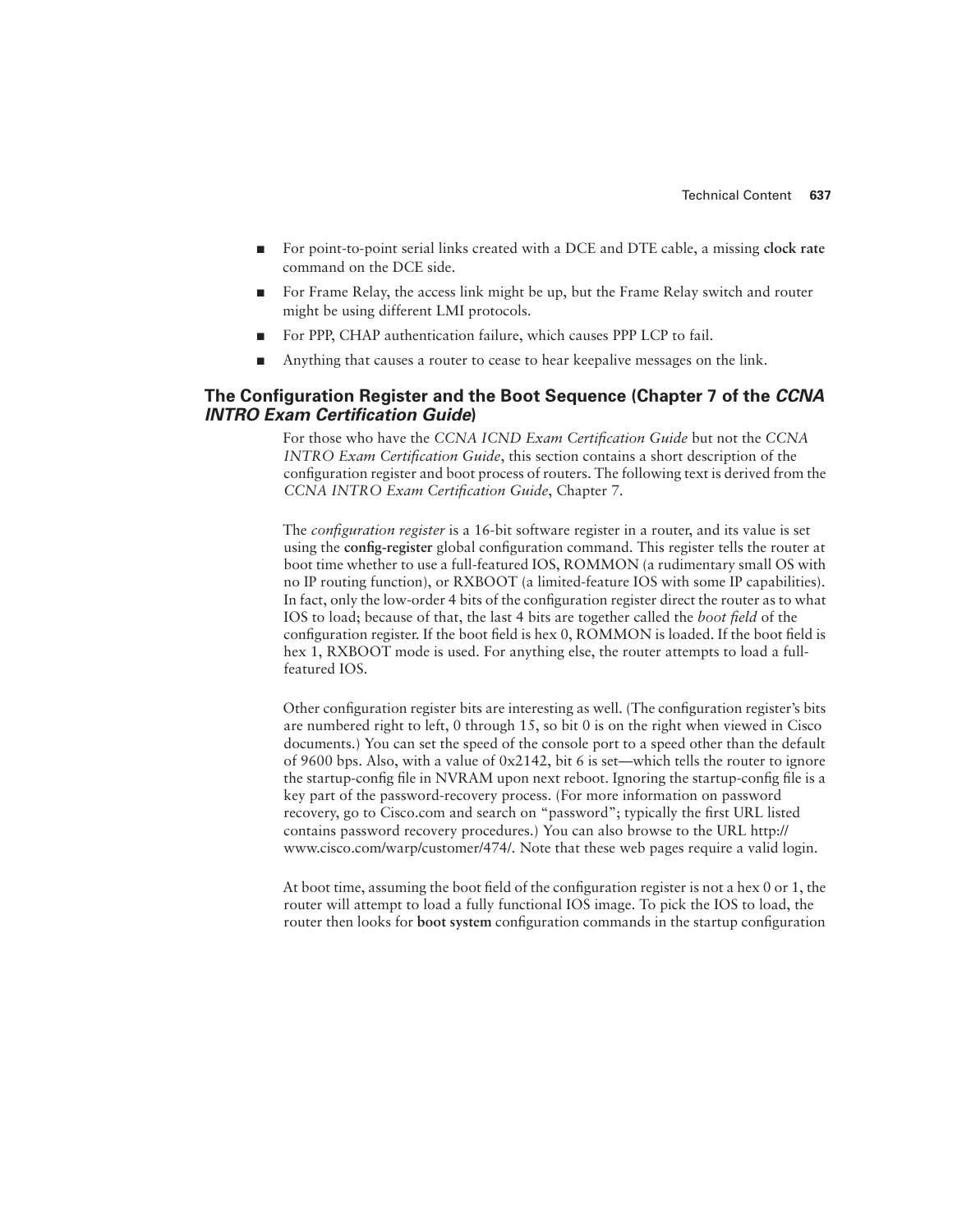- For point-to-point serial links created with a DCE and DTE cable, a missing **clock rate** command on the DCE side.
- For Frame Relay, the access link might be up, but the Frame Relay switch and router might be using different LMI protocols.
- For PPP, CHAP authentication failure, which causes PPP LCP to fail.
- Anything that causes a router to cease to hear keepalive messages on the link.

# **The Configuration Register and the Boot Sequence (Chapter 7 of the** *CCNA INTRO Exam Certification Guide***)**

For those who have the *CCNA ICND Exam Certification Guide* but not the *CCNA INTRO Exam Certification Guide*, this section contains a short description of the configuration register and boot process of routers. The following text is derived from the *CCNA INTRO Exam Certification Guide*, Chapter 7.

The *configuration register* is a 16-bit software register in a router, and its value is set using the **config-register** global configuration command. This register tells the router at boot time whether to use a full-featured IOS, ROMMON (a rudimentary small OS with no IP routing function), or RXBOOT (a limited-feature IOS with some IP capabilities). In fact, only the low-order 4 bits of the configuration register direct the router as to what IOS to load; because of that, the last 4 bits are together called the *boot field* of the configuration register. If the boot field is hex 0, ROMMON is loaded. If the boot field is hex 1, RXBOOT mode is used. For anything else, the router attempts to load a fullfeatured IOS.

Other configuration register bits are interesting as well. (The configuration register's bits are numbered right to left, 0 through 15, so bit 0 is on the right when viewed in Cisco documents.) You can set the speed of the console port to a speed other than the default of 9600 bps. Also, with a value of 0x2142, bit 6 is set—which tells the router to ignore the startup-config file in NVRAM upon next reboot. Ignoring the startup-config file is a key part of the password-recovery process. (For more information on password recovery, go to Cisco.com and search on "password"; typically the first URL listed contains password recovery procedures.) You can also browse to the URL http:// www.cisco.com/warp/customer/474/. Note that these web pages require a valid login.

At boot time, assuming the boot field of the configuration register is not a hex 0 or 1, the router will attempt to load a fully functional IOS image. To pick the IOS to load, the router then looks for **boot system** configuration commands in the startup configuration